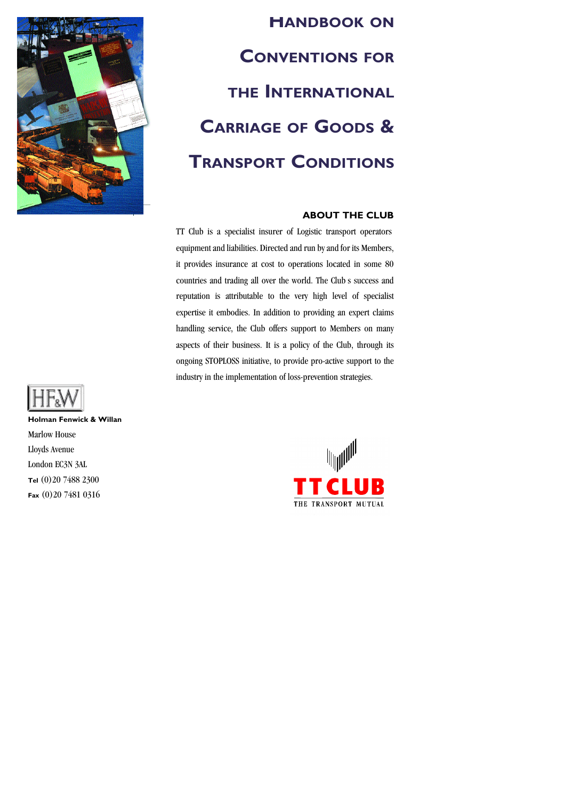

# **HANDBOOK ON CONVENTIONS FOR THE INTERNATIONAL CARRIAGE OF GOODS & TRANSPORT CONDITIONS**

## **ABOUT THE CLUB**

TT Club is a specialist insurer of Logistic transport operators equipment and liabilities. Directed and run by and for its Members, it provides insurance at cost to operations located in some 80 countries and trading all over the world. The Club s success and reputation is attributable to the very high level of specialist expertise it embodies. In addition to providing an expert claims handling service, the Club offers support to Members on many aspects of their business. It is a policy of the Club, through its ongoing STOPLOSS initiative, to provide pro-active support to the industry in the implementation of loss-prevention strategies.



**Holman Fenwick & Willan** Marlow House Lloyds Avenue London EC3N 3AL **Tel** (0)20 7488 2300 **Fax** (0)20 7481 0316

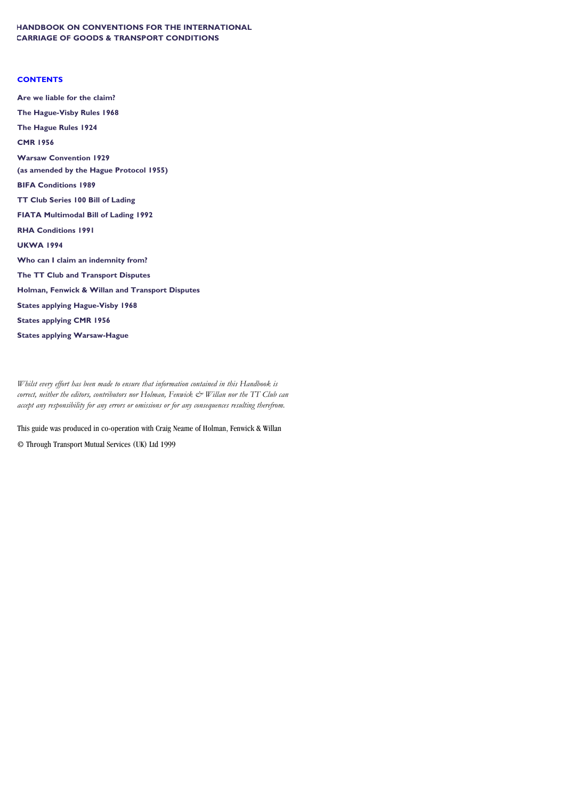## **HANDBOOK ON CONVENTIONS FOR THE INTERNATIONAL CARRIAGE OF GOODS & TRANSPORT CONDITIONS**

## **CONTENTS**

**Are we liable for the claim? The Hague-Visby Rules 1968 The Hague Rules 1924 CMR 1956 Warsaw Convention 1929 (as amended by the Hague Protocol 1955) BIFA Conditions 1989 TT Club Series 100 Bill of Lading FIATA Multimodal Bill of Lading 1992 RHA Conditions 1991 UKWA 1994 Who can I claim an indemnity from? The TT Club and Transport Disputes Holman, Fenwick & Willan and Transport Disputes States applying Hague-Visby 1968 States applying CMR 1956 States applying Warsaw-Hague**

*Whilst every effort has been made to ensure that information contained in this Handbook is correct, neither the editors, contributors nor Holman, Fenwick & Willan nor the TT Club can accept any responsibility for any errors or omissions or for any consequences resulting therefrom.*

This guide was produced in co-operation with Craig Neame of Holman, Fenwick & Willan

© Through Transport Mutual Services (UK) Ltd 1999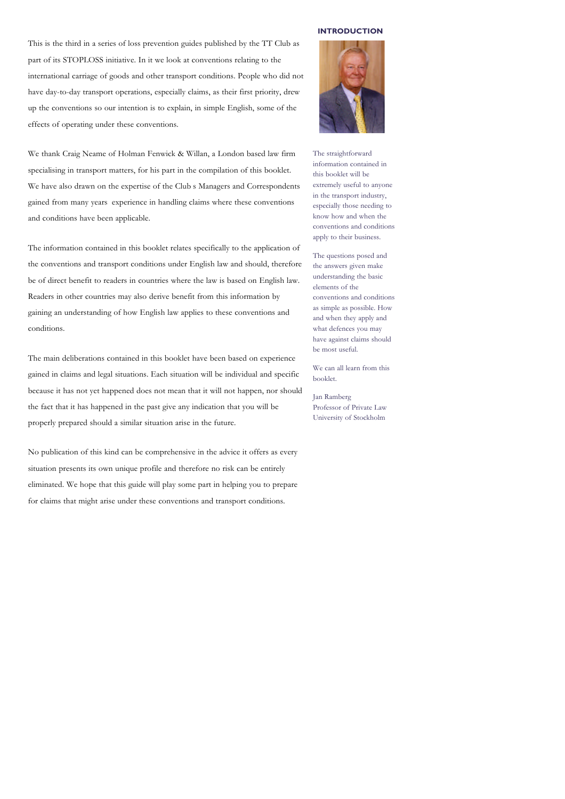This is the third in a series of loss prevention guides published by the TT Club as part of its STOPLOSS initiative. In it we look at conventions relating to the international carriage of goods and other transport conditions. People who did not have day-to-day transport operations, especially claims, as their first priority, drew up the conventions so our intention is to explain, in simple English, some of the effects of operating under these conventions.

We thank Craig Neame of Holman Fenwick & Willan, a London based law firm specialising in transport matters, for his part in the compilation of this booklet. We have also drawn on the expertise of the Club s Managers and Correspondents gained from many years' experience in handling claims where these conventions and conditions have been applicable.

The information contained in this booklet relates specifically to the application of the conventions and transport conditions under English law and should, therefore be of direct benefit to readers in countries where the law is based on English law. Readers in other countries may also derive benefit from this information by gaining an understanding of how English law applies to these conventions and conditions.

The main deliberations contained in this booklet have been based on experience gained in claims and legal situations. Each situation will be individual and specific because it has not yet happened does not mean that it will not happen, nor should the fact that it has happened in the past give any indication that you will be properly prepared should a similar situation arise in the future.

No publication of this kind can be comprehensive in the advice it offers as every situation presents its own unique profile and therefore no risk can be entirely eliminated. We hope that this guide will play some part in helping you to prepare for claims that might arise under these conventions and transport conditions.

#### **INTRODUCTION**



The straightforward information contained in this booklet will be extremely useful to anyone in the transport industry, especially those needing to know how and when the conventions and conditions apply to their business.

The questions posed and the answers given make understanding the basic elements of the conventions and conditions as simple as possible. How and when they apply and what defences you may have against claims should be most useful.

We can all learn from this booklet.

Jan Ramberg Professor of Private Law University of Stockholm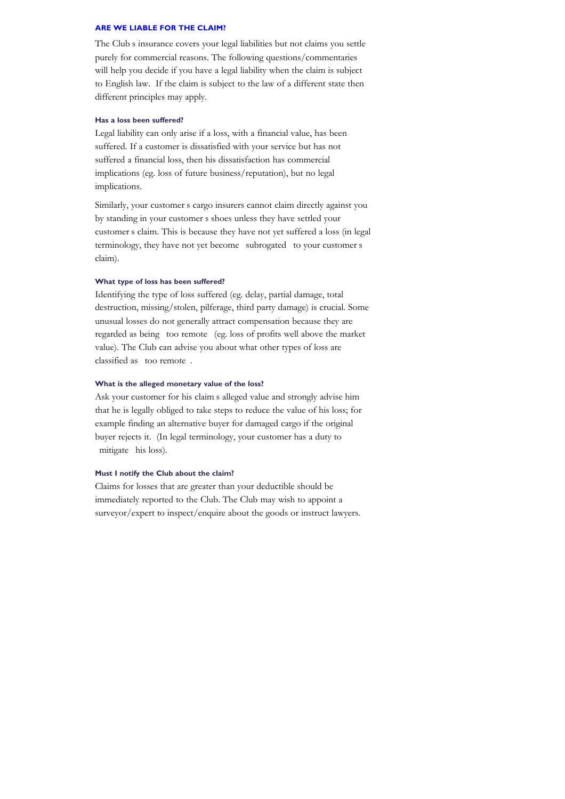The Club's insurance covers your legal liabilities but not claims you settle purely for commercial reasons. The following questions/commentaries will help you decide if you have a legal liability when the claim is subject to English law. If the claim is subject to the law of a different state then different principles may apply.

## **Has a loss been suffered?**

Legal liability can only arise if a loss, with a financial value, has been suffered. If a customer is dissatisfied with your service but has not suffered a financial loss, then his dissatisfaction has commercial implications (eg. loss of future business/reputation), but no legal implications.

Similarly, your customer's cargo insurers cannot claim directly against you by standing in your customer's shoes unless they have settled your customer's claim. This is because they have not yet suffered a loss (in legal terminology, they have not yet become subrogated to your customer's claim).

#### **What type of loss has been suffered?**

Identifying the type of loss suffered (eg. delay, partial damage, total destruction, missing/stolen, pilferage, third party damage) is crucial. Some unusual losses do not generally attract compensation because they are regarded as being too remote (eg. loss of profits well above the market value). The Club can advise you about what other types of loss are classified as  $\alpha$  too remote.

## **What is the alleged monetary value of the loss?**

Ask your customer for his claim's alleged value and strongly advise him that he is legally obliged to take steps to reduce the value of his loss; for example finding an alternative buyer for damaged cargo if the original buyer rejects it. (In legal terminology, your customer has a duty to mitigate his loss).

## **Must I notify the Club about the claim?**

Claims for losses that are greater than your deductible should be immediately reported to the Club. The Club may wish to appoint a surveyor/expert to inspect/enquire about the goods or instruct lawyers.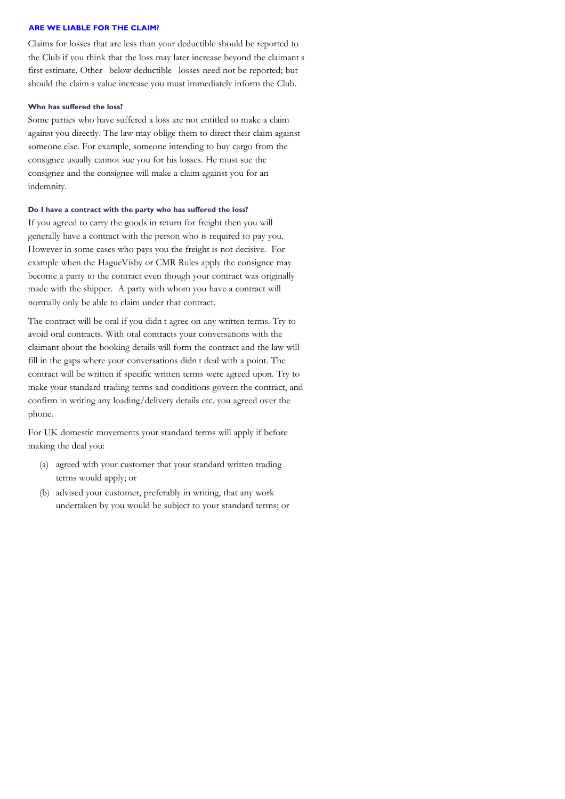Claims for losses that are less than your deductible should be reported to the Club if you think that the loss may later increase beyond the claimant's first estimate. Other below deductible losses need not be reported; but should the claim's value increase you must immediately inform the Club.

#### **Who has suffered the loss?**

Some parties who have suffered a loss are not entitled to make a claim against you directly. The law may oblige them to direct their claim against someone else. For example, someone intending to buy cargo from the consignee usually cannot sue you for his losses. He must sue the consignee and the consignee will make a claim against you for an indemnity.

## **Do I have a contract with the party who has suffered the loss?**

If you agreed to carry the goods in return for freight then you will generally have a contract with the person who is required to pay you. However in some cases who pays you the freight is not decisive. For example when the HagueVisby or CMR Rules apply the consignee may become a party to the contract even though your contract was originally made with the shipper. A party with whom you have a contract will normally only be able to claim under that contract.

The contract will be oral if you didn't agree on any written terms. Try to avoid oral contracts. With oral contracts your conversations with the claimant about the booking details will form the contract and the law will fill in the gaps where your conversations didn't deal with a point. The contract will be written if specific written terms were agreed upon. Try to make your standard trading terms and conditions govern the contract, and confirm in writing any loading/delivery details etc. you agreed over the phone.

For UK domestic movements your standard terms will apply if before making the deal you:

- (a) agreed with your customer that your standard written trading terms would apply; or
- (b) advised your customer, preferably in writing, that any work undertaken by you would be subject to your standard terms; or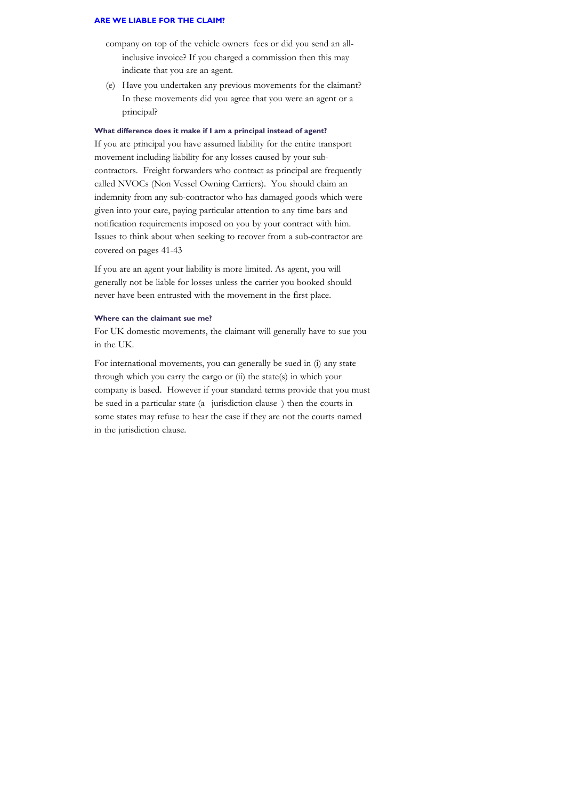- company on top of the vehicle owners' fees or did you send an allinclusive invoice? If you charged a commission then this may indicate that you are an agent.
- (e) Have you undertaken any previous movements for the claimant? In these movements did you agree that you were an agent or a principal?

## **What difference does it make if I am a principal instead of agent?**

If you are principal you have assumed liability for the entire transport movement including liability for any losses caused by your subcontractors. Freight forwarders who contract as principal are frequently called NVOCs (Non Vessel Owning Carriers). You should claim an indemnity from any sub-contractor who has damaged goods which were given into your care, paying particular attention to any time bars and notification requirements imposed on you by your contract with him. Issues to think about when seeking to recover from a sub-contractor are covered on pages 41-43

If you are an agent your liability is more limited. As agent, you will generally not be liable for losses unless the carrier you booked should never have been entrusted with the movement in the first place.

#### **Where can the claimant sue me?**

For UK domestic movements, the claimant will generally have to sue you in the UK.

For international movements, you can generally be sued in (i) any state through which you carry the cargo or (ii) the state(s) in which your company is based. However if your standard terms provide that you must be sued in a particular state (a "jurisdiction clause") then the courts in some states may refuse to hear the case if they are not the courts named in the jurisdiction clause.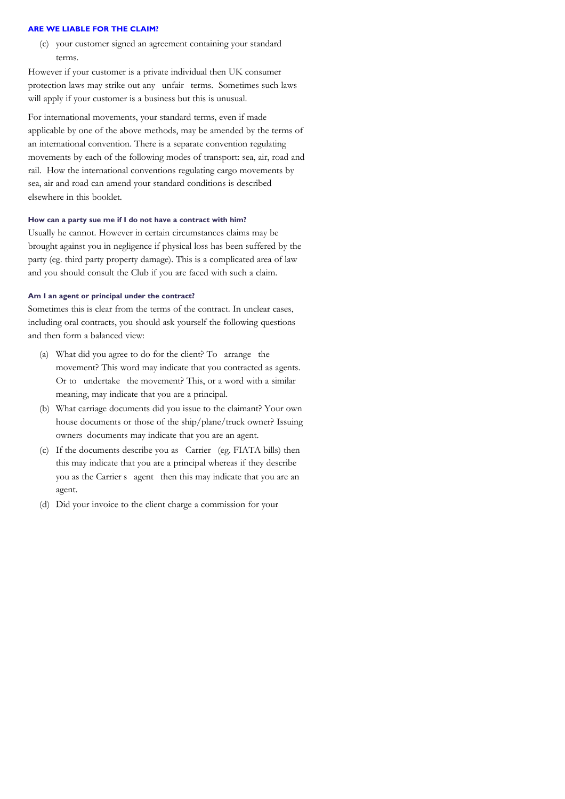(c) your customer signed an agreement containing your standard terms.

However if your customer is a private individual then UK consumer protection laws may strike out any unfair terms. Sometimes such laws will apply if your customer is a business but this is unusual.

For international movements, your standard terms, even if made applicable by one of the above methods, may be amended by the terms of an international convention. There is a separate convention regulating movements by each of the following modes of transport: sea, air, road and rail. How the international conventions regulating cargo movements by sea, air and road can amend your standard conditions is described elsewhere in this booklet.

#### **How can a party sue me if I do not have a contract with him?**

Usually he cannot. However in certain circumstances claims may be brought against you in negligence if physical loss has been suffered by the party (eg. third party property damage). This is a complicated area of law and you should consult the Club if you are faced with such a claim.

#### **Am I an agent or principal under the contract?**

Sometimes this is clear from the terms of the contract. In unclear cases, including oral contracts, you should ask yourself the following questions and then form a balanced view:

- (a) What did you agree to do for the client? To arrange the movement? This word may indicate that you contracted as agents. Or to undertake the movement? This, or a word with a similar meaning, may indicate that you are a principal.
- (b) What carriage documents did you issue to the claimant? Your own house documents or those of the ship/plane/truck owner? Issuing owners' documents may indicate that you are an agent.
- (c) If the documents describe you as Carrier (eg. FIATA bills) then this may indicate that you are a principal whereas if they describe you as the Carrier's "agent" then this may indicate that you are an agent.
- (d) Did your invoice to the client charge a commission for your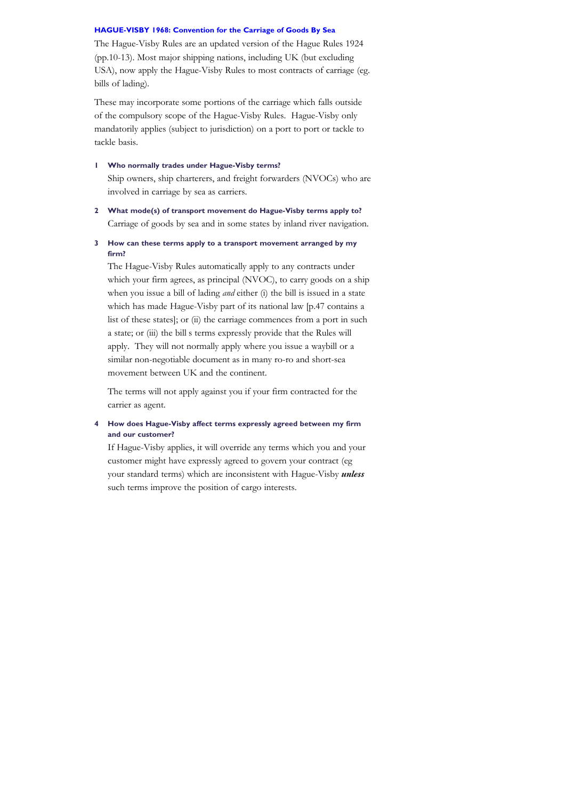The Hague-Visby Rules are an updated version of the Hague Rules 1924 (pp.10-13). Most major shipping nations, including UK (but excluding USA), now apply the Hague-Visby Rules to most contracts of carriage (eg. bills of lading).

These may incorporate some portions of the carriage which falls outside of the compulsory scope of the Hague-Visby Rules. Hague-Visby only mandatorily applies (subject to jurisdiction) on a port to port or tackle to tackle basis.

- **1 Who normally trades under Hague-Visby terms?** Ship owners, ship charterers, and freight forwarders (NVOCs) who are involved in carriage by sea as carriers.
- **2 What mode(s) of transport movement do Hague-Visby terms apply to?** Carriage of goods by sea and in some states by inland river navigation.
- **3 How can these terms apply to a transport movement arranged by my firm?**

The Hague-Visby Rules automatically apply to any contracts under which your firm agrees, as principal (NVOC), to carry goods on a ship when you issue a bill of lading *and* either (i) the bill is issued in a state which has made Hague-Visby part of its national law [p.47 contains a list of these states]; or (ii) the carriage commences from a port in such a state; or (iii) the bill's terms expressly provide that the Rules will apply. They will not normally apply where you issue a waybill or a similar non-negotiable document as in many ro-ro and short-sea movement between UK and the continent.

The terms will not apply against you if your firm contracted for the carrier as agent.

## **4 How does Hague-Visby affect terms expressly agreed between my firm and our customer?**

If Hague-Visby applies, it will override any terms which you and your customer might have expressly agreed to govern your contract (eg your standard terms) which are inconsistent with Hague-Visby *unless* such terms improve the position of cargo interests.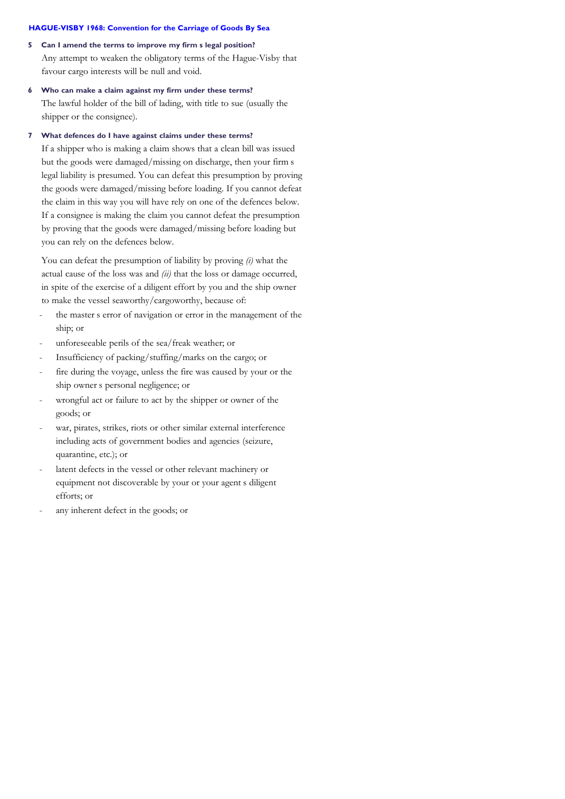- **5 Can I amend the terms to improve my firm's legal position?** Any attempt to weaken the obligatory terms of the Hague-Visby that favour cargo interests will be null and void.
- **6 Who can make a claim against my firm under these terms?** The lawful holder of the bill of lading, with title to sue (usually the shipper or the consignee).

#### **7 What defences do I have against claims under these terms?**

If a shipper who is making a claim shows that a clean bill was issued but the goods were damaged/missing on discharge, then your firm's legal liability is presumed. You can defeat this presumption by proving the goods were damaged/missing before loading. If you cannot defeat the claim in this way you will have rely on one of the defences below. If a consignee is making the claim you cannot defeat the presumption by proving that the goods were damaged/missing before loading but you can rely on the defences below.

You can defeat the presumption of liability by proving *(i)* what the actual cause of the loss was and *(ii)* that the loss or damage occurred, in spite of the exercise of a diligent effort by you and the ship owner to make the vessel seaworthy/cargoworthy, because of:

- the master's error of navigation or error in the management of the ship; or
- unforeseeable perils of the sea/freak weather; or
- Insufficiency of packing/stuffing/marks on the cargo; or
- fire during the voyage, unless the fire was caused by your or the ship owner s personal negligence; or
- wrongful act or failure to act by the shipper or owner of the goods; or
- war, pirates, strikes, riots or other similar external interference including acts of government bodies and agencies (seizure, quarantine, etc.); or
- latent defects in the vessel or other relevant machinery or equipment not discoverable by your or your agent's diligent efforts; or
- any inherent defect in the goods; or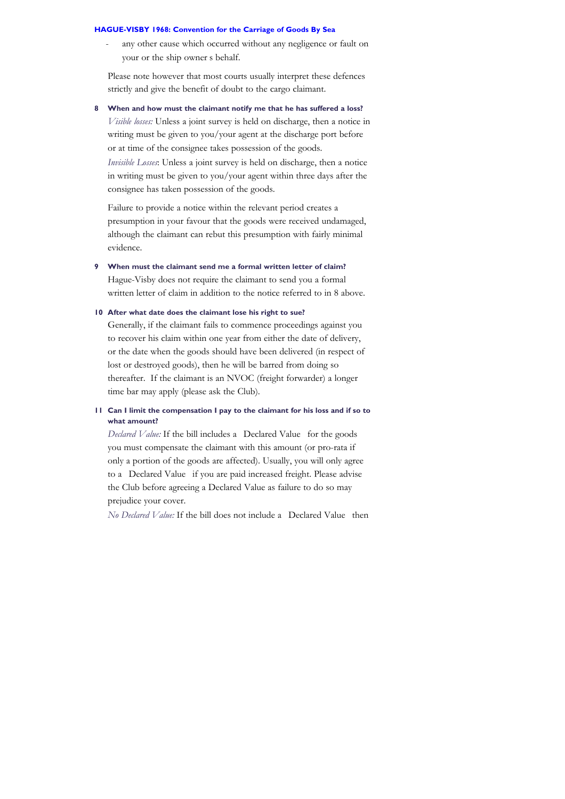any other cause which occurred without any negligence or fault on your or the ship owner's behalf.

Please note however that most courts usually interpret these defences strictly and give the benefit of doubt to the cargo claimant.

**8 When and how must the claimant notify me that he has suffered a loss?**

*Visible losses:* Unless a joint survey is held on discharge, then a notice in writing must be given to you/your agent at the discharge port before or at time of the consignee takes possession of the goods. *Invisible Losses*: Unless a joint survey is held on discharge, then a notice

in writing must be given to you/your agent within three days after the consignee has taken possession of the goods.

Failure to provide a notice within the relevant period creates a presumption in your favour that the goods were received undamaged, although the claimant can rebut this presumption with fairly minimal evidence.

**9 When must the claimant send me a formal written letter of claim?** Hague-Visby does not require the claimant to send you a formal written letter of claim in addition to the notice referred to in 8 above.

## **10 After what date does the claimant lose his right to sue?**

Generally, if the claimant fails to commence proceedings against you to recover his claim within one year from either the date of delivery, or the date when the goods should have been delivered (in respect of lost or destroyed goods), then he will be barred from doing so thereafter. If the claimant is an NVOC (freight forwarder) a longer time bar may apply (please ask the Club).

## **11 Can I limit the compensation I pay to the claimant for his loss and if so to what amount?**

*Declared Value:* If the bill includes a Declared Value for the goods you must compensate the claimant with this amount (or pro-rata if only a portion of the goods are affected). Usually, you will only agree to a Declared Value if you are paid increased freight. Please advise the Club before agreeing a Declared Value as failure to do so may prejudice your cover.

*No Declared Value:* If the bill does not include a "Declared Value" then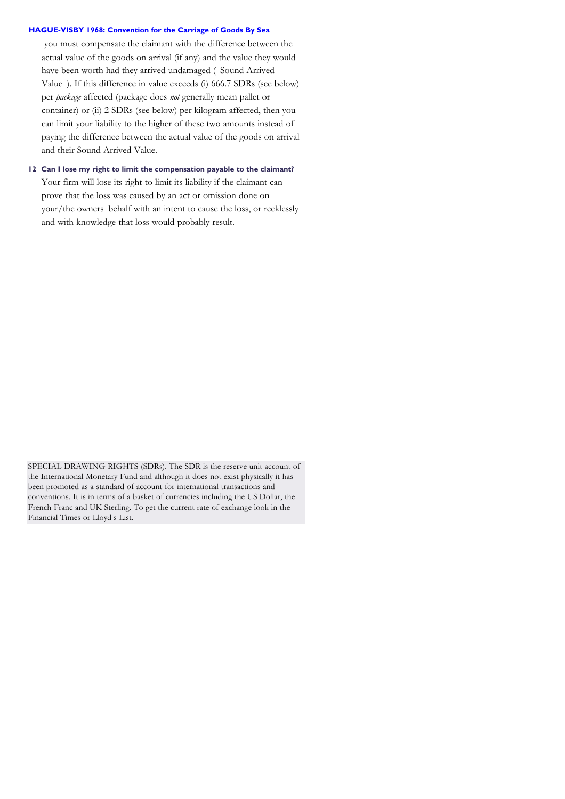you must compensate the claimant with the difference between the actual value of the goods on arrival (if any) and the value they would have been worth had they arrived undamaged (Sound Arrived Value"). If this difference in value exceeds (i) 666.7 SDRs (see below) per *package* affected (package does *not* generally mean pallet or container) or (ii) 2 SDRs (see below) per kilogram affected, then you can limit your liability to the higher of these two amounts instead of paying the difference between the actual value of the goods on arrival and their Sound Arrived Value.

**12 Can I lose my right to limit the compensation payable to the claimant?** Your firm will lose its right to limit its liability if the claimant can prove that the loss was caused by an act or omission done on your/the owners' behalf with an intent to cause the loss, or recklessly and with knowledge that loss would probably result.

SPECIAL DRAWING RIGHTS (SDRs). The SDR is the reserve unit account of the International Monetary Fund and although it does not exist physically it has been promoted as a standard of account for international transactions and conventions. It is in terms of a basket of currencies including the US Dollar, the French Franc and UK Sterling. To get the current rate of exchange look in the Financial Times or Lloyd's List.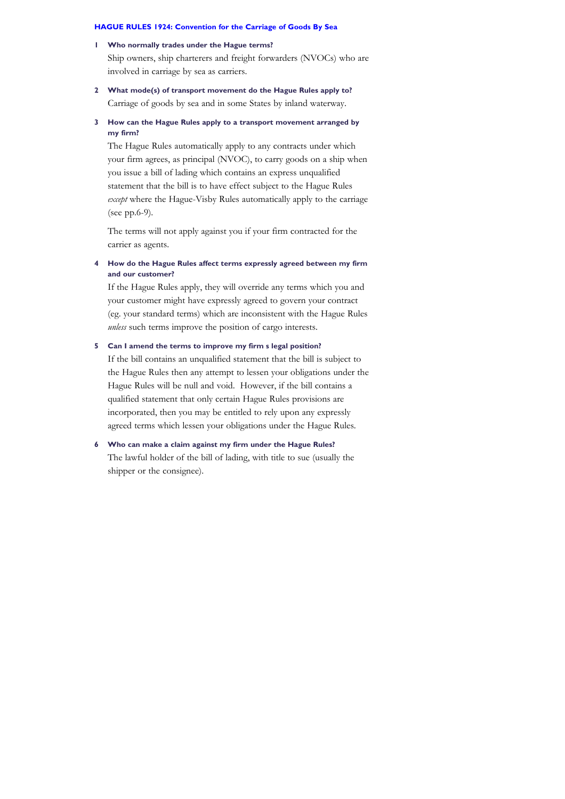#### **1 Who normally trades under the Hague terms?**

Ship owners, ship charterers and freight forwarders (NVOCs) who are involved in carriage by sea as carriers.

## **2 What mode(s) of transport movement do the Hague Rules apply to?** Carriage of goods by sea and in some States by inland waterway.

## **3 How can the Hague Rules apply to a transport movement arranged by my firm?**

The Hague Rules automatically apply to any contracts under which your firm agrees, as principal (NVOC), to carry goods on a ship when you issue a bill of lading which contains an express unqualified statement that the bill is to have effect subject to the Hague Rules *except* where the Hague-Visby Rules automatically apply to the carriage (see pp.6-9).

The terms will not apply against you if your firm contracted for the carrier as agents.

## **4 How do the Hague Rules affect terms expressly agreed between my firm and our customer?**

If the Hague Rules apply, they will override any terms which you and your customer might have expressly agreed to govern your contract (eg. your standard terms) which are inconsistent with the Hague Rules *unless* such terms improve the position of cargo interests.

## **5 Can I amend the terms to improve my firm's legal position?**

If the bill contains an unqualified statement that the bill is subject to the Hague Rules then any attempt to lessen your obligations under the Hague Rules will be null and void. However, if the bill contains a qualified statement that only certain Hague Rules provisions are incorporated, then you may be entitled to rely upon any expressly agreed terms which lessen your obligations under the Hague Rules.

## **6 Who can make a claim against my firm under the Hague Rules?** The lawful holder of the bill of lading, with title to sue (usually the shipper or the consignee).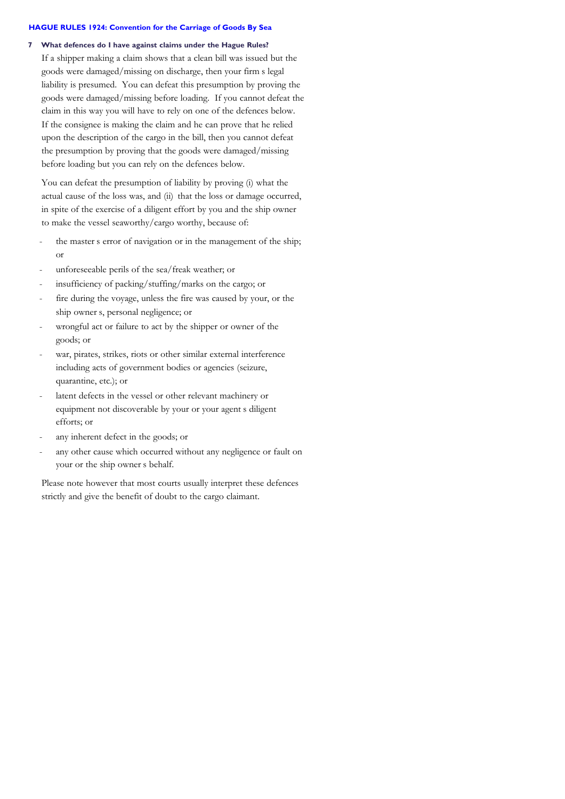#### **7 What defences do I have against claims under the Hague Rules?**

If a shipper making a claim shows that a clean bill was issued but the goods were damaged/missing on discharge, then your firm's legal liability is presumed. You can defeat this presumption by proving the goods were damaged/missing before loading. If you cannot defeat the claim in this way you will have to rely on one of the defences below. If the consignee is making the claim and he can prove that he relied upon the description of the cargo in the bill, then you cannot defeat the presumption by proving that the goods were damaged/missing before loading but you can rely on the defences below.

You can defeat the presumption of liability by proving (i) what the actual cause of the loss was, and (ii) that the loss or damage occurred, in spite of the exercise of a diligent effort by you and the ship owner to make the vessel seaworthy/cargo worthy, because of:

- the master's error of navigation or in the management of the ship; or
- unforeseeable perils of the sea/freak weather; or
- insufficiency of packing/stuffing/marks on the cargo; or
- fire during the voyage, unless the fire was caused by your, or the ship owner s, personal negligence; or
- wrongful act or failure to act by the shipper or owner of the goods; or
- war, pirates, strikes, riots or other similar external interference including acts of government bodies or agencies (seizure, quarantine, etc.); or
- latent defects in the vessel or other relevant machinery or equipment not discoverable by your or your agent's diligent efforts; or
- any inherent defect in the goods; or
- any other cause which occurred without any negligence or fault on your or the ship owner's behalf.

Please note however that most courts usually interpret these defences strictly and give the benefit of doubt to the cargo claimant.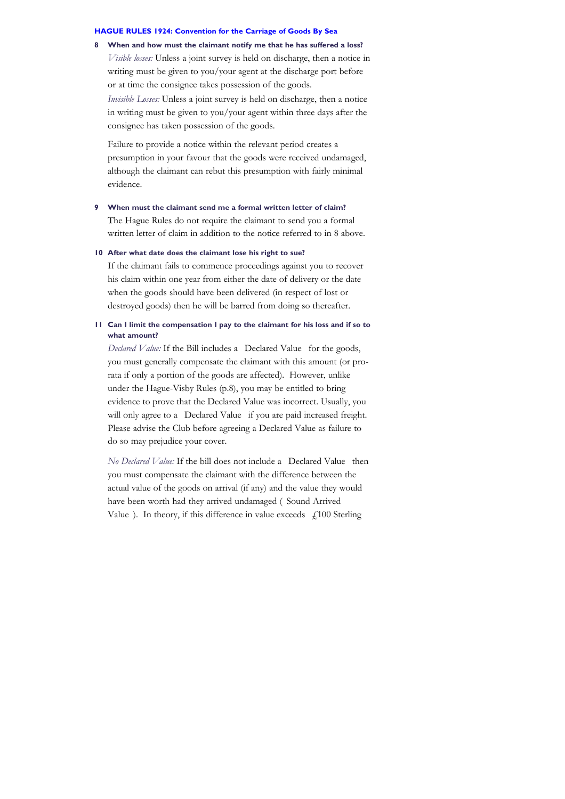**8 When and how must the claimant notify me that he has suffered a loss?** *Visible losses:* Unless a joint survey is held on discharge, then a notice in writing must be given to you/your agent at the discharge port before or at time the consignee takes possession of the goods.

*Invisible Losses:* Unless a joint survey is held on discharge, then a notice in writing must be given to you/your agent within three days after the consignee has taken possession of the goods.

Failure to provide a notice within the relevant period creates a presumption in your favour that the goods were received undamaged, although the claimant can rebut this presumption with fairly minimal evidence.

#### **9 When must the claimant send me a formal written letter of claim?**

The Hague Rules do not require the claimant to send you a formal written letter of claim in addition to the notice referred to in 8 above.

#### **10 After what date does the claimant lose his right to sue?**

If the claimant fails to commence proceedings against you to recover his claim within one year from either the date of delivery or the date when the goods should have been delivered (in respect of lost or destroyed goods) then he will be barred from doing so thereafter.

#### **11 Can I limit the compensation I pay to the claimant for his loss and if so to what amount?**

*Declared Value:* If the Bill includes a Declared Value for the goods, you must generally compensate the claimant with this amount (or prorata if only a portion of the goods are affected). However, unlike under the Hague-Visby Rules (p.8), you may be entitled to bring evidence to prove that the Declared Value was incorrect. Usually, you will only agree to a Declared Value if you are paid increased freight. Please advise the Club before agreeing a Declared Value as failure to do so may prejudice your cover.

*No Declared Value:* If the bill does not include a Declared Value then you must compensate the claimant with the difference between the actual value of the goods on arrival (if any) and the value they would have been worth had they arrived undamaged (Sound Arrived Value"). In theory, if this difference in value exceeds  $f$   $f$   $100$  Sterling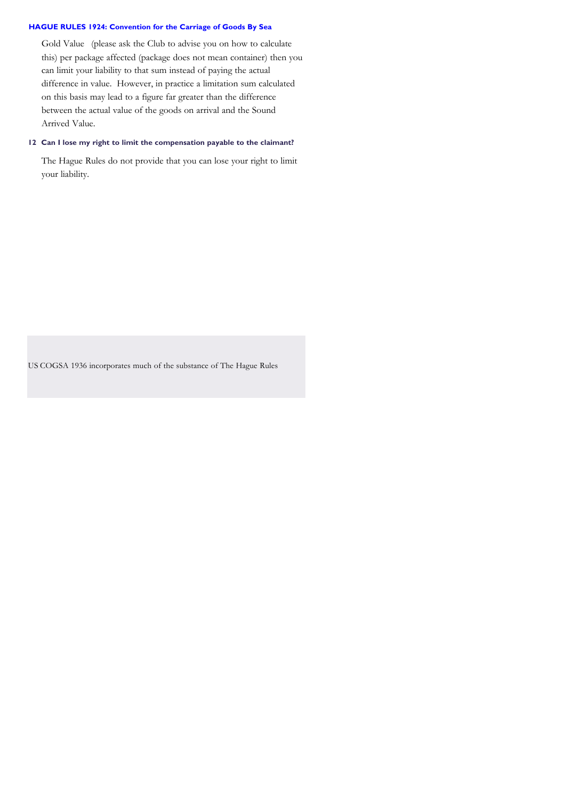Gold Value (please ask the Club to advise you on how to calculate this) per package affected (package does not mean container) then you can limit your liability to that sum instead of paying the actual difference in value. However, in practice a limitation sum calculated on this basis may lead to a figure far greater than the difference between the actual value of the goods on arrival and the Sound Arrived Value.

## **12 Can I lose my right to limit the compensation payable to the claimant?**

The Hague Rules do not provide that you can lose your right to limit your liability.

US COGSA 1936 incorporates much of the substance of The Hague Rules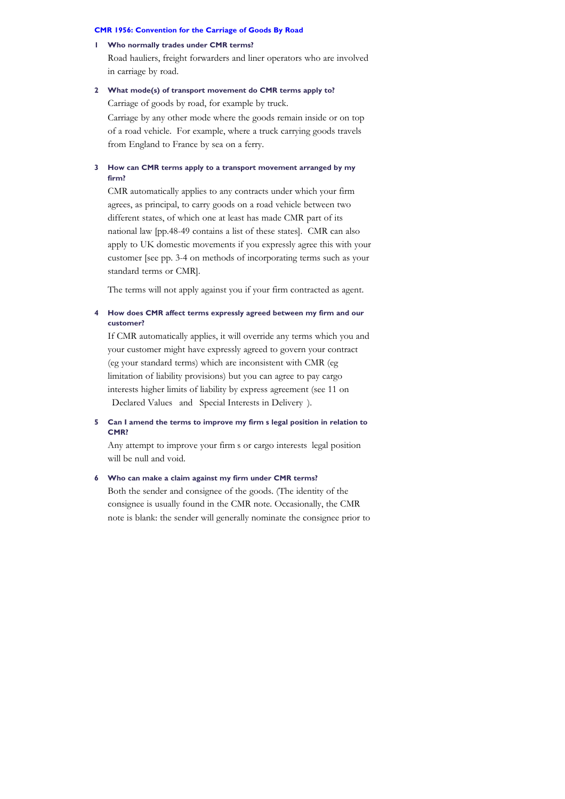#### **1 Who normally trades under CMR terms?**

Road hauliers, freight forwarders and liner operators who are involved in carriage by road.

## **2 What mode(s) of transport movement do CMR terms apply to?**

Carriage of goods by road, for example by truck.

Carriage by any other mode where the goods remain inside or on top of a road vehicle. For example, where a truck carrying goods travels from England to France by sea on a ferry.

#### **3 How can CMR terms apply to a transport movement arranged by my firm?**

CMR automatically applies to any contracts under which your firm agrees, as principal, to carry goods on a road vehicle between two different states, of which one at least has made CMR part of its national law [pp.48-49 contains a list of these states]. CMR can also apply to UK domestic movements if you expressly agree this with your customer [see pp. 3-4 on methods of incorporating terms such as your standard terms or CMR].

The terms will not apply against you if your firm contracted as agent.

## **4 How does CMR affect terms expressly agreed between my firm and our customer?**

If CMR automatically applies, it will override any terms which you and your customer might have expressly agreed to govern your contract (eg your standard terms) which are inconsistent with CMR (eg limitation of liability provisions) but you can agree to pay cargo interests higher limits of liability by express agreement (see 11 on Declared Values and Special Interests in Delivery ).

## **5 Can I amend the terms to improve my firm's legal position in relation to CMR?**

Any attempt to improve your firm s or cargo interests legal position will be null and void.

## **6 Who can make a claim against my firm under CMR terms?**

Both the sender and consignee of the goods. (The identity of the consignee is usually found in the CMR note. Occasionally, the CMR note is blank: the sender will generally nominate the consignee prior to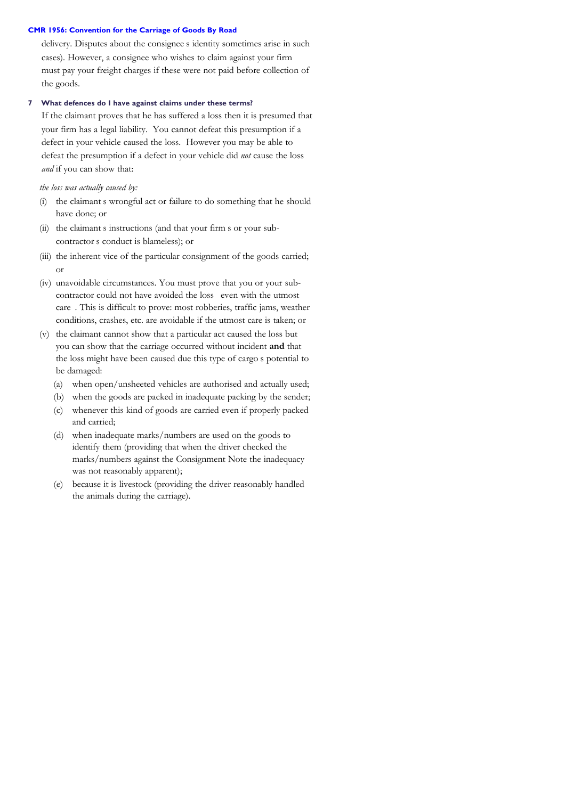delivery. Disputes about the consignee's identity sometimes arise in such cases). However, a consignee who wishes to claim against your firm must pay your freight charges if these were not paid before collection of the goods.

## **7 What defences do I have against claims under these terms?**

If the claimant proves that he has suffered a loss then it is presumed that your firm has a legal liability. You cannot defeat this presumption if a defect in your vehicle caused the loss. However you may be able to defeat the presumption if a defect in your vehicle did *not* cause the loss *and* if you can show that:

*the loss was actually caused by:*

- (i) the claimant s wrongful act or failure to do something that he should have done; or
- (ii) the claimant s instructions (and that your firm s or your subcontractor s conduct is blameless); or
- (iii) the inherent vice of the particular consignment of the goods carried; or
- (iv) unavoidable circumstances. You must prove that you or your subcontractor could not have avoided the loss "even with the utmost care. This is difficult to prove: most robberies, traffic jams, weather conditions, crashes, etc. are avoidable if the utmost care is taken; or
- (v) the claimant cannot show that a particular act caused the loss but you can show that the carriage occurred without incident **and** that the loss might have been caused due this type of cargo s potential to be damaged:
	- (a) when open/unsheeted vehicles are authorised and actually used;
	- (b) when the goods are packed in inadequate packing by the sender;
	- (c) whenever this kind of goods are carried even if properly packed and carried;
	- (d) when inadequate marks/numbers are used on the goods to identify them (providing that when the driver checked the marks/numbers against the Consignment Note the inadequacy was not reasonably apparent);
	- (e) because it is livestock (providing the driver reasonably handled the animals during the carriage).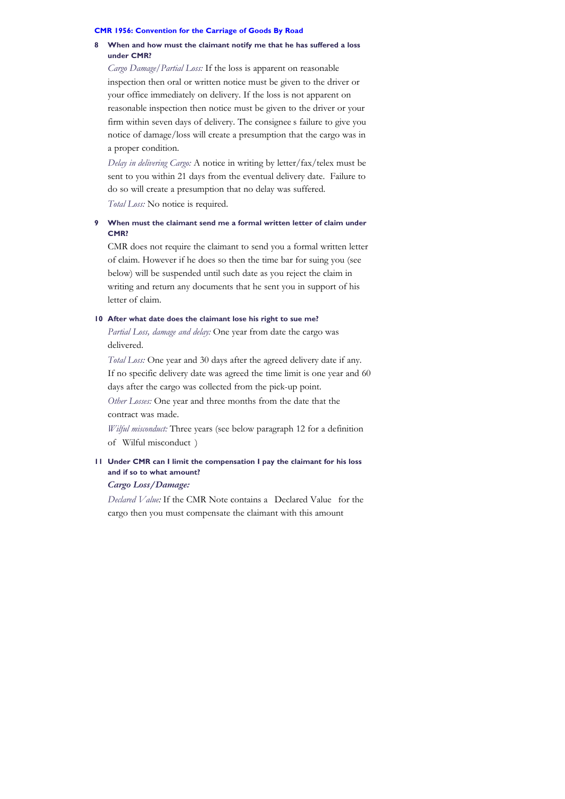#### **8 When and how must the claimant notify me that he has suffered a loss under CMR?**

*Cargo Damage/Partial Loss:* If the loss is apparent on reasonable inspection then oral or written notice must be given to the driver or your office immediately on delivery. If the loss is not apparent on reasonable inspection then notice must be given to the driver or your firm within seven days of delivery. The consignee's failure to give you notice of damage/loss will create a presumption that the cargo was in a proper condition.

*Delay in delivering Cargo:* A notice in writing by letter/fax/telex must be sent to you within 21 days from the eventual delivery date. Failure to do so will create a presumption that no delay was suffered.

*Total Loss:* No notice is required.

## **9 When must the claimant send me a formal written letter of claim under CMR?**

CMR does not require the claimant to send you a formal written letter of claim. However if he does so then the time bar for suing you (see below) will be suspended until such date as you reject the claim in writing and return any documents that he sent you in support of his letter of claim.

## **10 After what date does the claimant lose his right to sue me?**

*Partial Loss, damage and delay:* One year from date the cargo was delivered.

*Total Loss:* One year and 30 days after the agreed delivery date if any. If no specific delivery date was agreed the time limit is one year and 60 days after the cargo was collected from the pick-up point.

*Other Losses:* One year and three months from the date that the contract was made.

*Wilful misconduct:* Three years (see below paragraph 12 for a definition of Wilful misconduct)

## **11 Under CMR can I limit the compensation I pay the claimant for his loss and if so to what amount?**

## *Cargo Loss/Damage:*

*Declared Value:* If the CMR Note contains a Declared Value for the cargo then you must compensate the claimant with this amount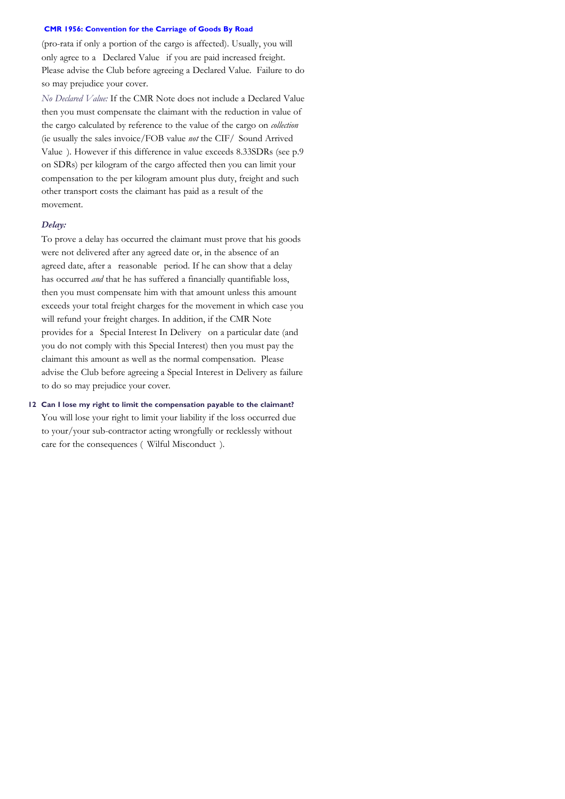(pro-rata if only a portion of the cargo is affected). Usually, you will only agree to a Declared Value if you are paid increased freight. Please advise the Club before agreeing a Declared Value. Failure to do so may prejudice your cover.

*No Declared Value:* If the CMR Note does not include a Declared Value then you must compensate the claimant with the reduction in value of the cargo calculated by reference to the value of the cargo on *collection* (ie usually the sales invoice/FOB value *not* the CIF/ Sound Arrived Value ). However if this difference in value exceeds 8.33SDRs (see p.9 on SDRs) per kilogram of the cargo affected then you can limit your compensation to the per kilogram amount plus duty, freight and such other transport costs the claimant has paid as a result of the movement.

## *Delay:*

To prove a delay has occurred the claimant must prove that his goods were not delivered after any agreed date or, in the absence of an agreed date, after a reasonable period. If he can show that a delay has occurred *and* that he has suffered a financially quantifiable loss, then you must compensate him with that amount unless this amount exceeds your total freight charges for the movement in which case you will refund your freight charges. In addition, if the CMR Note provides for a Special Interest In Delivery on a particular date (and you do not comply with this Special Interest) then you must pay the claimant this amount as well as the normal compensation. Please advise the Club before agreeing a Special Interest in Delivery as failure to do so may prejudice your cover.

## **12 Can I lose my right to limit the compensation payable to the claimant?** You will lose your right to limit your liability if the loss occurred due to your/your sub-contractor acting wrongfully or recklessly without care for the consequences ("Wilful Misconduct").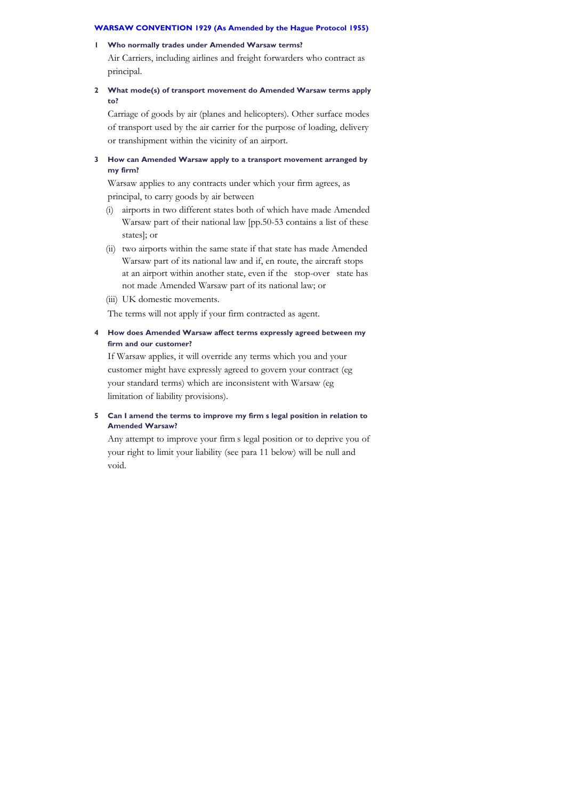#### **1 Who normally trades under Amended Warsaw terms?**

Air Carriers, including airlines and freight forwarders who contract as principal.

## **2 What mode(s) of transport movement do Amended Warsaw terms apply to?**

Carriage of goods by air (planes and helicopters). Other surface modes of transport used by the air carrier for the purpose of loading, delivery or transhipment within the vicinity of an airport.

## **3 How can Amended Warsaw apply to a transport movement arranged by my firm?**

Warsaw applies to any contracts under which your firm agrees, as principal, to carry goods by air between

- (i) airports in two different states both of which have made Amended Warsaw part of their national law [pp.50-53 contains a list of these states]; or
- (ii) two airports within the same state if that state has made Amended Warsaw part of its national law and if, en route, the aircraft stops at an airport within another state, even if the stop-over state has not made Amended Warsaw part of its national law; or
- (iii) UK domestic movements.

The terms will not apply if your firm contracted as agent.

## **4 How does Amended Warsaw affect terms expressly agreed between my firm and our customer?**

If Warsaw applies, it will override any terms which you and your customer might have expressly agreed to govern your contract (eg your standard terms) which are inconsistent with Warsaw (eg limitation of liability provisions).

## **5 Can I amend the terms to improve my firm's legal position in relation to Amended Warsaw?**

Any attempt to improve your firm's legal position or to deprive you of your right to limit your liability (see para 11 below) will be null and void.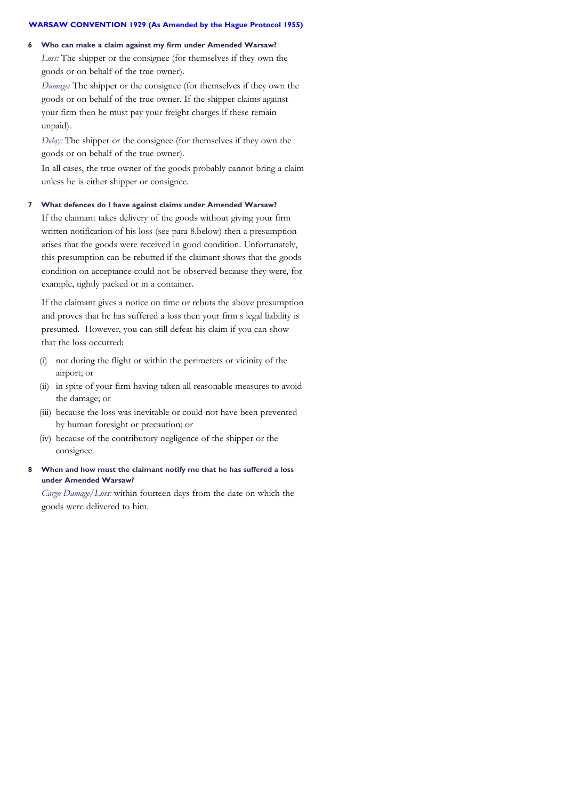#### **6 Who can make a claim against my firm under Amended Warsaw?**

*Loss:* The shipper or the consignee (for themselves if they own the goods or on behalf of the true owner).

*Damage:* The shipper or the consignee (for themselves if they own the goods or on behalf of the true owner. If the shipper claims against your firm then he must pay your freight charges if these remain unpaid).

*Delay:* The shipper or the consignee (for themselves if they own the goods or on behalf of the true owner).

In all cases, the true owner of the goods probably cannot bring a claim unless he is either shipper or consignee.

#### **7 What defences do I have against claims under Amended Warsaw?**

If the claimant takes delivery of the goods without giving your firm written notification of his loss (see para 8.below) then a presumption arises that the goods were received in good condition. Unfortunately, this presumption can be rebutted if the claimant shows that the goods condition on acceptance could not be observed because they were, for example, tightly packed or in a container.

If the claimant gives a notice on time or rebuts the above presumption and proves that he has suffered a loss then your firm's legal liability is presumed. However, you can still defeat his claim if you can show that the loss occurred:

- (i) not during the flight or within the perimeters or vicinity of the airport; or
- (ii) in spite of your firm having taken all reasonable measures to avoid the damage; or
- (iii) because the loss was inevitable or could not have been prevented by human foresight or precaution; or
- (iv) because of the contributory negligence of the shipper or the consignee.

## **8 When and how must the claimant notify me that he has suffered a loss under Amended Warsaw?**

*Cargo Damage/Loss:* within fourteen days from the date on which the goods were delivered to him.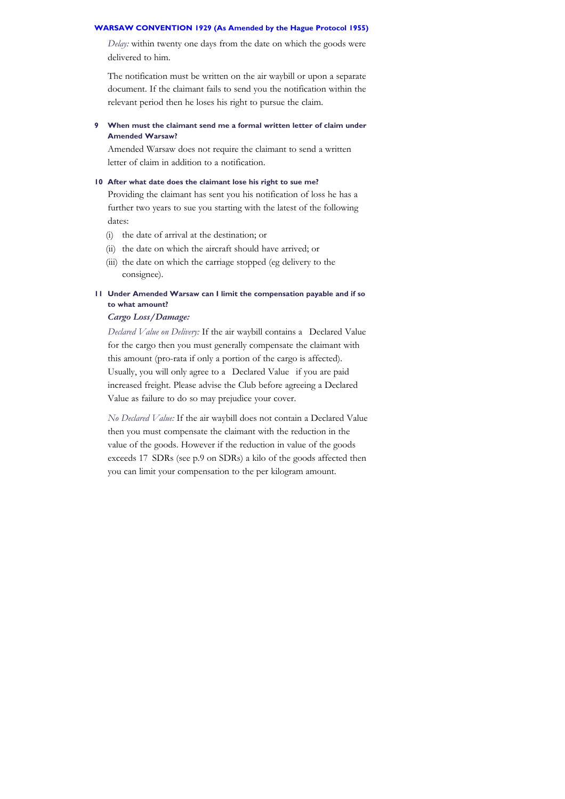*Delay:* within twenty one days from the date on which the goods were delivered to him.

The notification must be written on the air waybill or upon a separate document. If the claimant fails to send you the notification within the relevant period then he loses his right to pursue the claim.

**9 When must the claimant send me a formal written letter of claim under Amended Warsaw?**

Amended Warsaw does not require the claimant to send a written letter of claim in addition to a notification.

## **10 After what date does the claimant lose his right to sue me?**

Providing the claimant has sent you his notification of loss he has a further two years to sue you starting with the latest of the following dates:

- (i) the date of arrival at the destination; or
- (ii) the date on which the aircraft should have arrived; or
- (iii) the date on which the carriage stopped (eg delivery to the consignee).

## **11 Under Amended Warsaw can I limit the compensation payable and if so to what amount?**

## *Cargo Loss/Damage:*

*Declared Value on Delivery:* If the air waybill contains a Declared Value for the cargo then you must generally compensate the claimant with this amount (pro-rata if only a portion of the cargo is affected). Usually, you will only agree to a Declared Value if you are paid increased freight. Please advise the Club before agreeing a Declared Value as failure to do so may prejudice your cover.

*No Declared Value:* If the air waybill does not contain a Declared Value then you must compensate the claimant with the reduction in the value of the goods. However if the reduction in value of the goods exceeds 17 SDRs (see p.9 on SDRs) a kilo of the goods affected then you can limit your compensation to the per kilogram amount.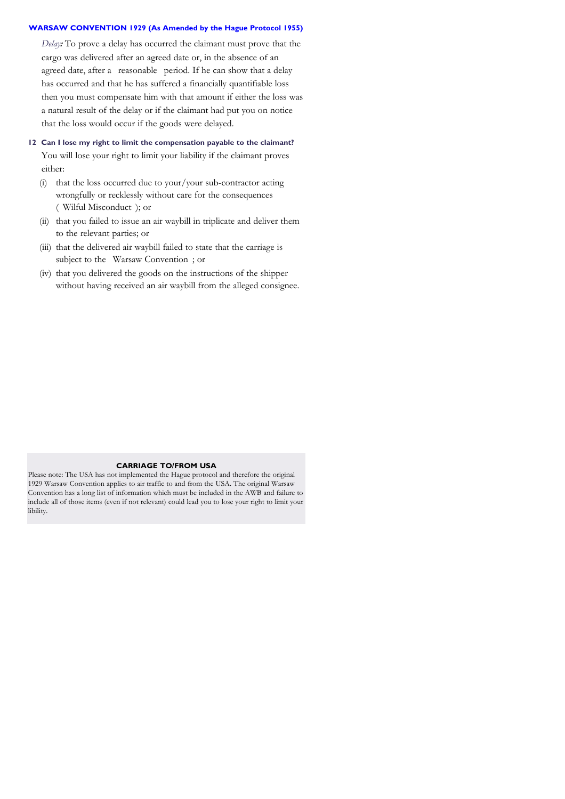*Delay:* To prove a delay has occurred the claimant must prove that the cargo was delivered after an agreed date or, in the absence of an agreed date, after a reasonable period. If he can show that a delay has occurred and that he has suffered a financially quantifiable loss then you must compensate him with that amount if either the loss was a natural result of the delay or if the claimant had put you on notice that the loss would occur if the goods were delayed.

## **12 Can I lose my right to limit the compensation payable to the claimant?**

You will lose your right to limit your liability if the claimant proves either:

- (i) that the loss occurred due to your/your sub-contractor acting wrongfully or recklessly without care for the consequences ("Wilful Misconduct"); or
- (ii) that you failed to issue an air waybill in triplicate and deliver them to the relevant parties; or
- (iii) that the delivered air waybill failed to state that the carriage is subject to the Warsaw Convention; or
- (iv) that you delivered the goods on the instructions of the shipper without having received an air waybill from the alleged consignee.

#### **CARRIAGE TO/FROM USA**

Please note: The USA has not implemented the Hague protocol and therefore the original 1929 Warsaw Convention applies to air traffic to and from the USA. The original Warsaw Convention has a long list of information which must be included in the AWB and failure to include all of those items (even if not relevant) could lead you to lose your right to limit your libility.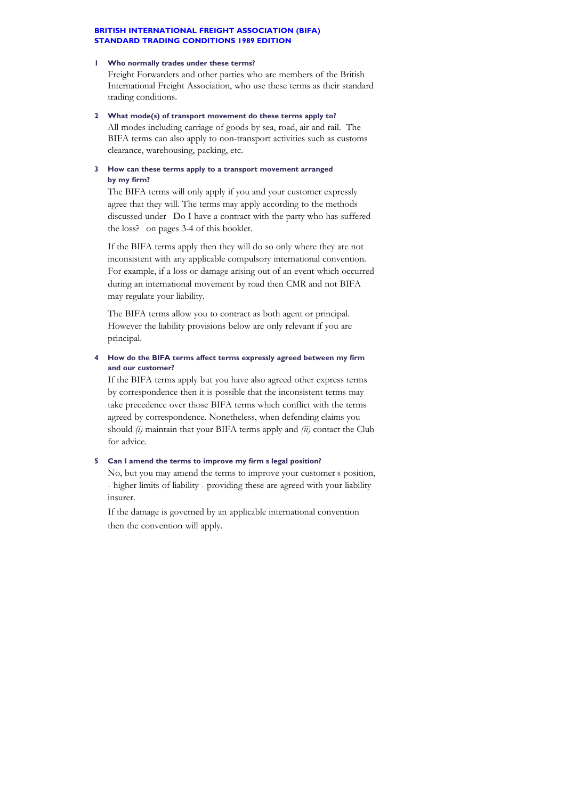#### **1 Who normally trades under these terms?**

Freight Forwarders and other parties who are members of the British International Freight Association, who use these terms as their standard trading conditions.

**2 What mode(s) of transport movement do these terms apply to?** All modes including carriage of goods by sea, road, air and rail. The BIFA terms can also apply to non-transport activities such as customs clearance, warehousing, packing, etc.

## **3 How can these terms apply to a transport movement arranged by my firm?**

The BIFA terms will only apply if you and your customer expressly agree that they will. The terms may apply according to the methods discussed under "Do I have a contract with the party who has suffered the loss?" on pages 3-4 of this booklet.

If the BIFA terms apply then they will do so only where they are not inconsistent with any applicable compulsory international convention. For example, if a loss or damage arising out of an event which occurred during an international movement by road then CMR and not BIFA may regulate your liability.

The BIFA terms allow you to contract as both agent or principal. However the liability provisions below are only relevant if you are principal.

## **4 How do the BIFA terms affect terms expressly agreed between my firm and our customer?**

If the BIFA terms apply but you have also agreed other express terms by correspondence then it is possible that the inconsistent terms may take precedence over those BIFA terms which conflict with the terms agreed by correspondence. Nonetheless, when defending claims you should *(i)* maintain that your BIFA terms apply and *(ii)* contact the Club for advice.

## **5 Can I amend the terms to improve my firm's legal position?**

No, but you may amend the terms to improve your customer's position, - higher limits of liability - providing these are agreed with your liability insurer.

If the damage is governed by an applicable international convention then the convention will apply.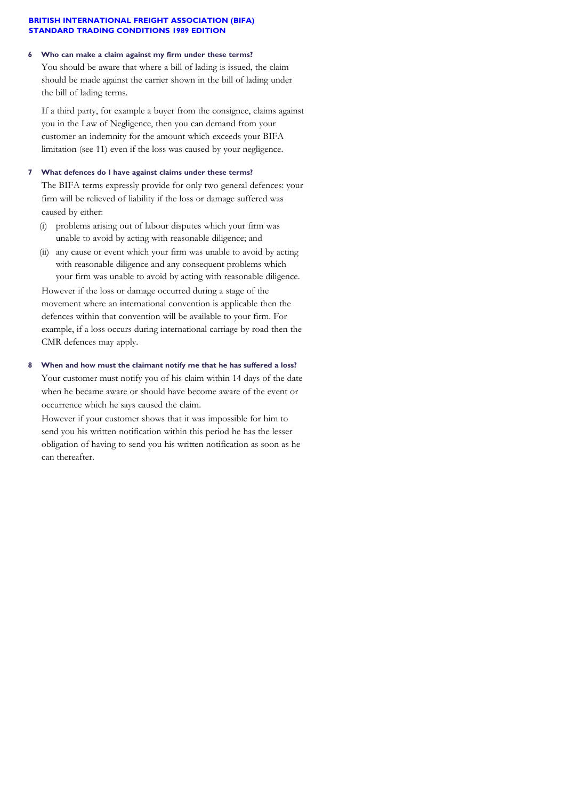## **6 Who can make a claim against my firm under these terms?**

You should be aware that where a bill of lading is issued, the claim should be made against the carrier shown in the bill of lading under the bill of lading terms.

If a third party, for example a buyer from the consignee, claims against you in the Law of Negligence, then you can demand from your customer an indemnity for the amount which exceeds your BIFA limitation (see 11) even if the loss was caused by your negligence.

## **7 What defences do I have against claims under these terms?**

The BIFA terms expressly provide for only two general defences: your firm will be relieved of liability if the loss or damage suffered was caused by either:

- (i) problems arising out of labour disputes which your firm was unable to avoid by acting with reasonable diligence; and
- (ii) any cause or event which your firm was unable to avoid by acting with reasonable diligence and any consequent problems which your firm was unable to avoid by acting with reasonable diligence.

However if the loss or damage occurred during a stage of the movement where an international convention is applicable then the defences within that convention will be available to your firm. For example, if a loss occurs during international carriage by road then the CMR defences may apply.

## **8 When and how must the claimant notify me that he has suffered a loss?**

Your customer must notify you of his claim within 14 days of the date when he became aware or should have become aware of the event or occurrence which he says caused the claim.

However if your customer shows that it was impossible for him to send you his written notification within this period he has the lesser obligation of having to send you his written notification as soon as he can thereafter.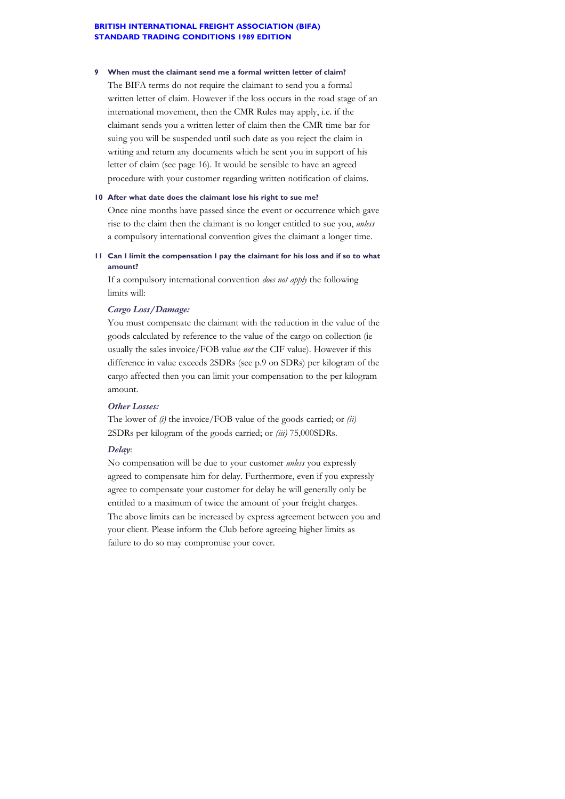#### **9 When must the claimant send me a formal written letter of claim?**

The BIFA terms do not require the claimant to send you a formal written letter of claim. However if the loss occurs in the road stage of an international movement, then the CMR Rules may apply, i.e. if the claimant sends you a written letter of claim then the CMR time bar for suing you will be suspended until such date as you reject the claim in writing and return any documents which he sent you in support of his letter of claim (see page 16). It would be sensible to have an agreed procedure with your customer regarding written notification of claims.

#### **10 After what date does the claimant lose his right to sue me?**

Once nine months have passed since the event or occurrence which gave rise to the claim then the claimant is no longer entitled to sue you, *unless* a compulsory international convention gives the claimant a longer time.

**11 Can I limit the compensation I pay the claimant for his loss and if so to what amount?**

If a compulsory international convention *does not apply* the following limits will:

#### *Cargo Loss/Damage:*

You must compensate the claimant with the reduction in the value of the goods calculated by reference to the value of the cargo on collection (ie usually the sales invoice/FOB value *not* the CIF value). However if this difference in value exceeds 2SDRs (see p.9 on SDRs) per kilogram of the cargo affected then you can limit your compensation to the per kilogram amount.

## *Other Losses:*

The lower of *(i)* the invoice/FOB value of the goods carried; or *(ii)* 2SDRs per kilogram of the goods carried; or *(iii)* 75,000SDRs.

#### *Delay*:

No compensation will be due to your customer *unless* you expressly agreed to compensate him for delay. Furthermore, even if you expressly agree to compensate your customer for delay he will generally only be entitled to a maximum of twice the amount of your freight charges. The above limits can be increased by express agreement between you and your client. Please inform the Club before agreeing higher limits as failure to do so may compromise your cover.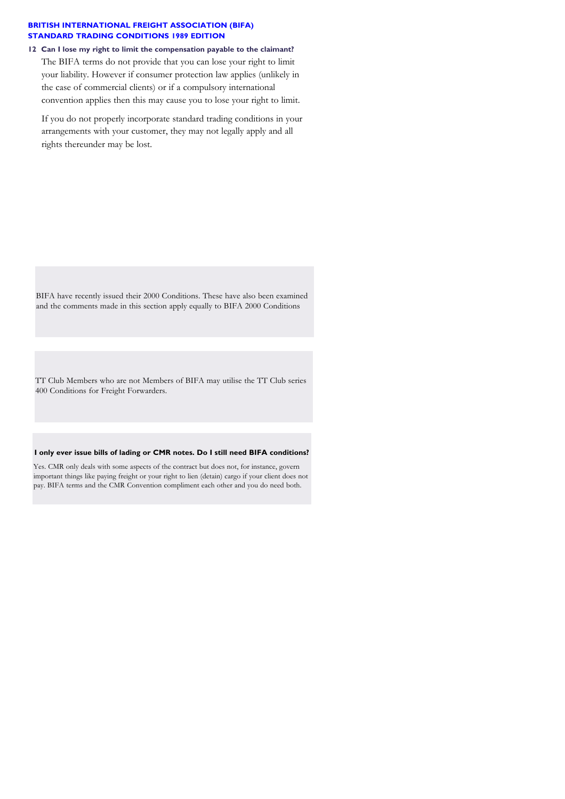**12 Can I lose my right to limit the compensation payable to the claimant?** The BIFA terms do not provide that you can lose your right to limit your liability. However if consumer protection law applies (unlikely in the case of commercial clients) or if a compulsory international convention applies then this may cause you to lose your right to limit.

If you do not properly incorporate standard trading conditions in your arrangements with your customer, they may not legally apply and all rights thereunder may be lost.

BIFA have recently issued their 2000 Conditions. These have also been examined and the comments made in this section apply equally to BIFA 2000 Conditions

TT Club Members who are not Members of BIFA may utilise the TT Club series 400 Conditions for Freight Forwarders.

#### **I only ever issue bills of lading or CMR notes. Do I still need BIFA conditions?**

Yes. CMR only deals with some aspects of the contract but does not, for instance, govern important things like paying freight or your right to lien (detain) cargo if your client does not pay. BIFA terms and the CMR Convention compliment each other and you do need both.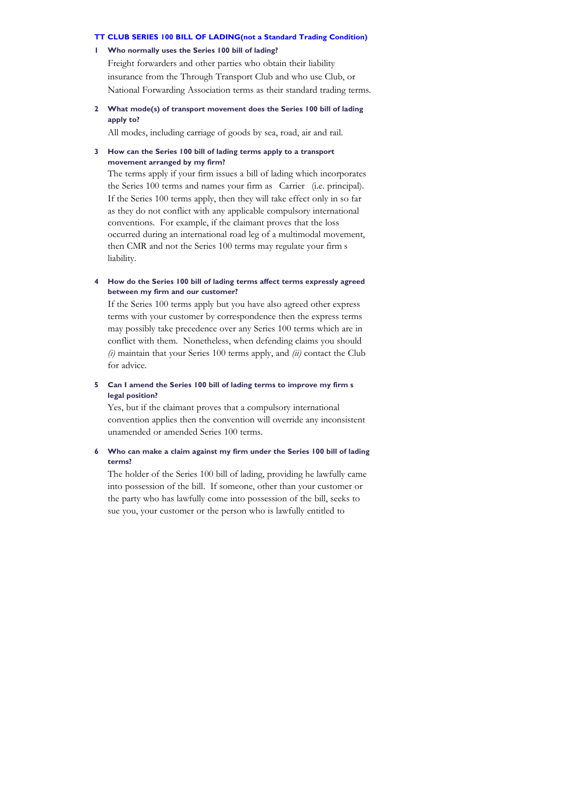#### **TT CLUB SERIES 100 BILL OF LADING(not a Standard Trading Condition)**

#### **1 Who normally uses the Series 100 bill of lading?**

Freight forwarders and other parties who obtain their liability insurance from the Through Transport Club and who use Club, or National Forwarding Association terms as their standard trading terms.

## **2 What mode(s) of transport movement does the Series 100 bill of lading apply to?**

All modes, including carriage of goods by sea, road, air and rail.

#### **3 How can the Series 100 bill of lading terms apply to a transport movement arranged by my firm?**

The terms apply if your firm issues a bill of lading which incorporates the Series 100 terms and names your firm as Carrier (i.e. principal). If the Series 100 terms apply, then they will take effect only in so far as they do not conflict with any applicable compulsory international conventions. For example, if the claimant proves that the loss occurred during an international road leg of a multimodal movement, then CMR and not the Series 100 terms may regulate your firm's liability.

#### **4 How do the Series 100 bill of lading terms affect terms expressly agreed between my firm and our customer?**

If the Series 100 terms apply but you have also agreed other express terms with your customer by correspondence then the express terms may possibly take precedence over any Series 100 terms which are in conflict with them. Nonetheless, when defending claims you should *(i)* maintain that your Series 100 terms apply, and *(ii)* contact the Club for advice.

## **5 Can I amend the Series 100 bill of lading terms to improve my firm's legal position?**

Yes, but if the claimant proves that a compulsory international convention applies then the convention will override any inconsistent unamended or amended Series 100 terms.

## **6 Who can make a claim against my firm under the Series 100 bill of lading terms?**

The holder of the Series 100 bill of lading, providing he lawfully came into possession of the bill. If someone, other than your customer or the party who has lawfully come into possession of the bill, seeks to sue you, your customer or the person who is lawfully entitled to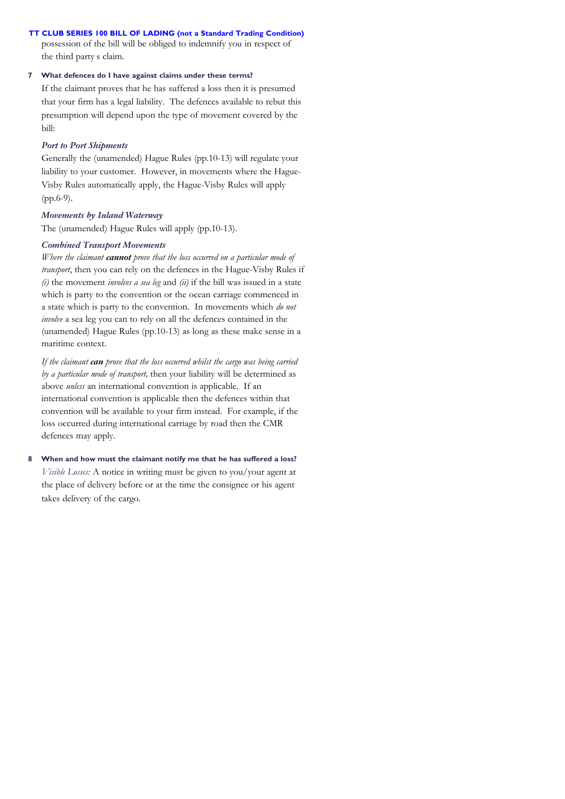## **TT CLUB SERIES 100 BILL OF LADING (not a Standard Trading Condition)**

possession of the bill will be obliged to indemnify you in respect of the third party's claim.

## **7 What defences do I have against claims under these terms?**

If the claimant proves that he has suffered a loss then it is presumed that your firm has a legal liability. The defences available to rebut this presumption will depend upon the type of movement covered by the bill:

### *Port to Port Shipments*

Generally the (unamended) Hague Rules (pp.10-13) will regulate your liability to your customer. However, in movements where the Hague-Visby Rules automatically apply, the Hague-Visby Rules will apply (pp.6-9).

## *Movements by Inland Waterway*

The (unamended) Hague Rules will apply (pp.10-13).

## *Combined Transport Movements*

*Where the claimant cannot prove that the loss occurred on a particular mode of transport*, then you can rely on the defences in the Hague-Visby Rules if *(i)* the movement *involves a sea leg* and *(ii)* if the bill was issued in a state which is party to the convention or the ocean carriage commenced in a state which is party to the convention. In movements which *do not involve* a sea leg you can to rely on all the defences contained in the (unamended) Hague Rules (pp.10-13) as long as these make sense in a maritime context.

*If the claimant can prove that the loss occurred whilst the cargo was being carried by a particular mode of transport,* then your liability will be determined as above *unless* an international convention is applicable. If an international convention is applicable then the defences within that convention will be available to your firm instead. For example, if the loss occurred during international carriage by road then the CMR defences may apply.

## **8 When and how must the claimant notify me that he has suffered a loss?**

*Visible Losses:* A notice in writing must be given to you/your agent at the place of delivery before or at the time the consignee or his agent takes delivery of the cargo.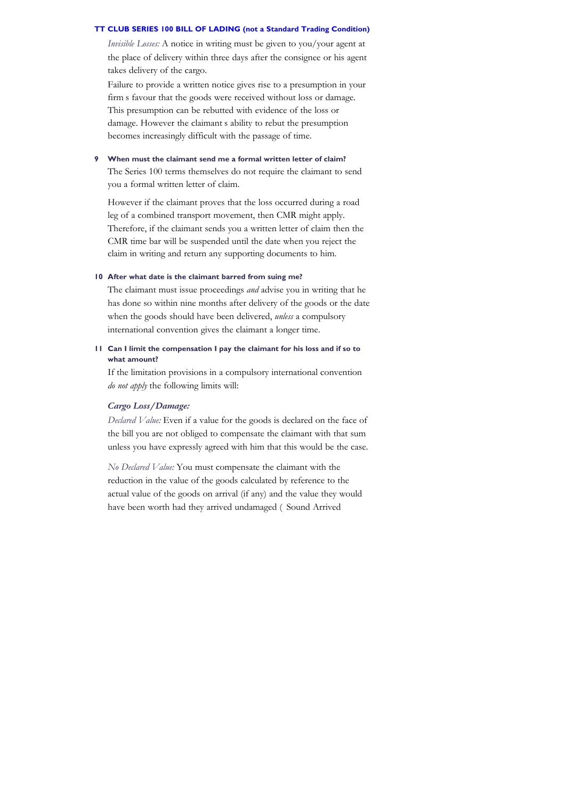#### **TT CLUB SERIES 100 BILL OF LADING (not a Standard Trading Condition)**

*Invisible Losses:* A notice in writing must be given to you/your agent at the place of delivery within three days after the consignee or his agent takes delivery of the cargo.

Failure to provide a written notice gives rise to a presumption in your firm's favour that the goods were received without loss or damage. This presumption can be rebutted with evidence of the loss or damage. However the claimant s ability to rebut the presumption becomes increasingly difficult with the passage of time.

## **9 When must the claimant send me a formal written letter of claim?**

The Series 100 terms themselves do not require the claimant to send you a formal written letter of claim.

However if the claimant proves that the loss occurred during a road leg of a combined transport movement, then CMR might apply. Therefore, if the claimant sends you a written letter of claim then the CMR time bar will be suspended until the date when you reject the claim in writing and return any supporting documents to him.

## **10 After what date is the claimant barred from suing me?**

The claimant must issue proceedings *and* advise you in writing that he has done so within nine months after delivery of the goods or the date when the goods should have been delivered, *unless* a compulsory international convention gives the claimant a longer time.

## **11 Can I limit the compensation I pay the claimant for his loss and if so to what amount?**

If the limitation provisions in a compulsory international convention *do not apply* the following limits will:

#### *Cargo Loss/Damage:*

*Declared Value:* Even if a value for the goods is declared on the face of the bill you are not obliged to compensate the claimant with that sum unless you have expressly agreed with him that this would be the case.

*No Declared Value:* You must compensate the claimant with the reduction in the value of the goods calculated by reference to the actual value of the goods on arrival (if any) and the value they would have been worth had they arrived undamaged (Sound Arrived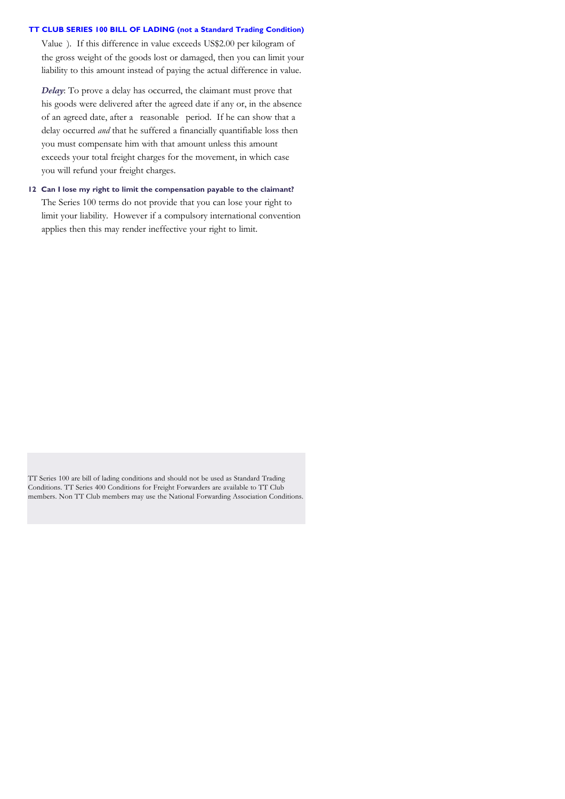## **TT CLUB SERIES 100 BILL OF LADING (not a Standard Trading Condition)**

Value ). If this difference in value exceeds US\$2.00 per kilogram of the gross weight of the goods lost or damaged, then you can limit your liability to this amount instead of paying the actual difference in value.

*Delay*: To prove a delay has occurred, the claimant must prove that his goods were delivered after the agreed date if any or, in the absence of an agreed date, after a reasonable period. If he can show that a delay occurred *and* that he suffered a financially quantifiable loss then you must compensate him with that amount unless this amount exceeds your total freight charges for the movement, in which case you will refund your freight charges.

**12 Can I lose my right to limit the compensation payable to the claimant?** The Series 100 terms do not provide that you can lose your right to limit your liability. However if a compulsory international convention applies then this may render ineffective your right to limit.

TT Series 100 are bill of lading conditions and should not be used as Standard Trading Conditions. TT Series 400 Conditions for Freight Forwarders are available to TT Club members. Non TT Club members may use the National Forwarding Association Conditions.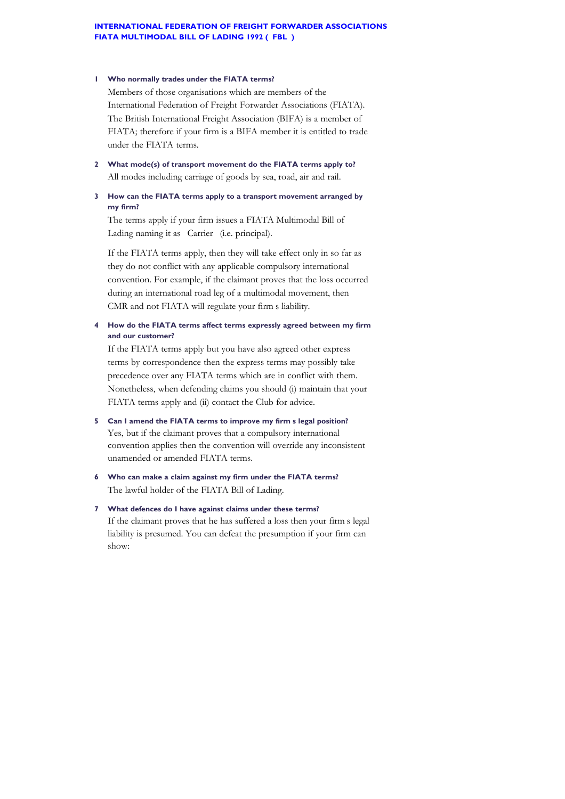#### **INTERNATIONAL FEDERATION OF FREIGHT FORWARDER ASSOCIATIONS FIATA MULTIMODAL BILL OF LADING 1992 (FBL)**

#### **1 Who normally trades under the FIATA terms?**

Members of those organisations which are members of the International Federation of Freight Forwarder Associations (FIATA). The British International Freight Association (BIFA) is a member of FIATA; therefore if your firm is a BIFA member it is entitled to trade under the FIATA terms.

**2 What mode(s) of transport movement do the FIATA terms apply to?** All modes including carriage of goods by sea, road, air and rail.

## **3 How can the FIATA terms apply to a transport movement arranged by my firm?**

The terms apply if your firm issues a FIATA Multimodal Bill of Lading naming it as Carrier (i.e. principal).

If the FIATA terms apply, then they will take effect only in so far as they do not conflict with any applicable compulsory international convention. For example, if the claimant proves that the loss occurred during an international road leg of a multimodal movement, then CMR and not FIATA will regulate your firm s liability.

## **4 How do the FIATA terms affect terms expressly agreed between my firm and our customer?**

If the FIATA terms apply but you have also agreed other express terms by correspondence then the express terms may possibly take precedence over any FIATA terms which are in conflict with them. Nonetheless, when defending claims you should (i) maintain that your FIATA terms apply and (ii) contact the Club for advice.

## **5 Can I amend the FIATA terms to improve my firm's legal position?** Yes, but if the claimant proves that a compulsory international convention applies then the convention will override any inconsistent unamended or amended FIATA terms.

**6 Who can make a claim against my firm under the FIATA terms?** The lawful holder of the FIATA Bill of Lading.

## **7 What defences do I have against claims under these terms?** If the claimant proves that he has suffered a loss then your firm's legal liability is presumed. You can defeat the presumption if your firm can show: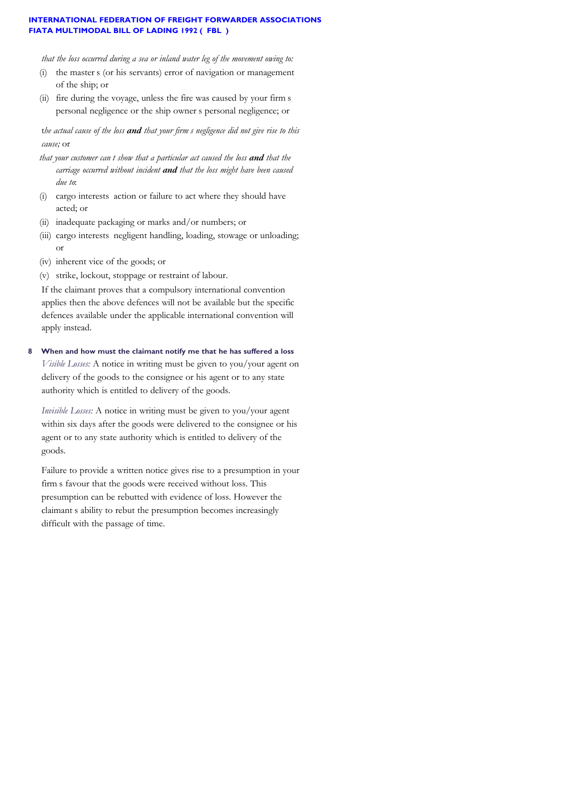## **INTERNATIONAL FEDERATION OF FREIGHT FORWARDER ASSOCIATIONS FIATA MULTIMODAL BILL OF LADING 1992 (FBL)**

*that the loss occurred during a sea or inland water leg of the movement owing to:*

- (i) the master s (or his servants) error of navigation or management of the ship; or
- (ii) fire during the voyage, unless the fire was caused by your firm's personal negligence or the ship owner's personal negligence; or

t*he actual cause of the loss and that your firm's negligence did not give rise to this cause;* or

- *that your customer can't show that a particular act caused the loss and that the carriage occurred without incident and that the loss might have been caused due to*:
- (i) cargo interests' action or failure to act where they should have acted; or
- (ii) inadequate packaging or marks and/or numbers; or
- (iii) cargo interests negligent handling, loading, stowage or unloading; or
- (iv) inherent vice of the goods; or
- (v) strike, lockout, stoppage or restraint of labour.

If the claimant proves that a compulsory international convention applies then the above defences will not be available but the specific defences available under the applicable international convention will apply instead.

**8 When and how must the claimant notify me that he has suffered a loss**

*Visible Losses:* A notice in writing must be given to you/your agent on delivery of the goods to the consignee or his agent or to any state authority which is entitled to delivery of the goods.

*Invisible Losses:* A notice in writing must be given to you/your agent within six days after the goods were delivered to the consignee or his agent or to any state authority which is entitled to delivery of the goods.

Failure to provide a written notice gives rise to a presumption in your firm s favour that the goods were received without loss. This presumption can be rebutted with evidence of loss. However the claimant's ability to rebut the presumption becomes increasingly difficult with the passage of time.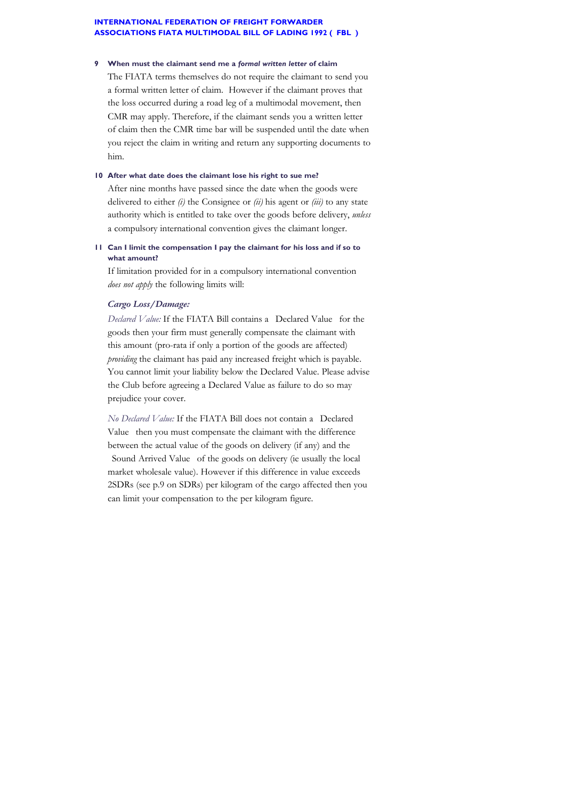#### **INTERNATIONAL FEDERATION OF FREIGHT FORWARDER ASSOCIATIONS FIATA MULTIMODAL BILL OF LADING 1992 (FBL)**

#### **9 When must the claimant send me a** *formal written letter* **of claim**

The FIATA terms themselves do not require the claimant to send you a formal written letter of claim. However if the claimant proves that the loss occurred during a road leg of a multimodal movement, then CMR may apply. Therefore, if the claimant sends you a written letter of claim then the CMR time bar will be suspended until the date when you reject the claim in writing and return any supporting documents to him.

#### **10 After what date does the claimant lose his right to sue me?**

After nine months have passed since the date when the goods were delivered to either *(i)* the Consignee or *(ii)* his agent or *(iii)* to any state authority which is entitled to take over the goods before delivery, *unless* a compulsory international convention gives the claimant longer.

## **11 Can I limit the compensation I pay the claimant for his loss and if so to what amount?**

If limitation provided for in a compulsory international convention *does not apply* the following limits will:

## *Cargo Loss/Damage:*

*Declared Value:* If the FIATA Bill contains a "Declared Value" for the goods then your firm must generally compensate the claimant with this amount (pro-rata if only a portion of the goods are affected) *providing* the claimant has paid any increased freight which is payable. You cannot limit your liability below the Declared Value. Please advise the Club before agreeing a Declared Value as failure to do so may prejudice your cover.

*No Declared Value:* If the FIATA Bill does not contain a "Declared Value then you must compensate the claimant with the difference between the actual value of the goods on delivery (if any) and the Sound Arrived Value of the goods on delivery (ie usually the local market wholesale value). However if this difference in value exceeds 2SDRs (see p.9 on SDRs) per kilogram of the cargo affected then you can limit your compensation to the per kilogram figure.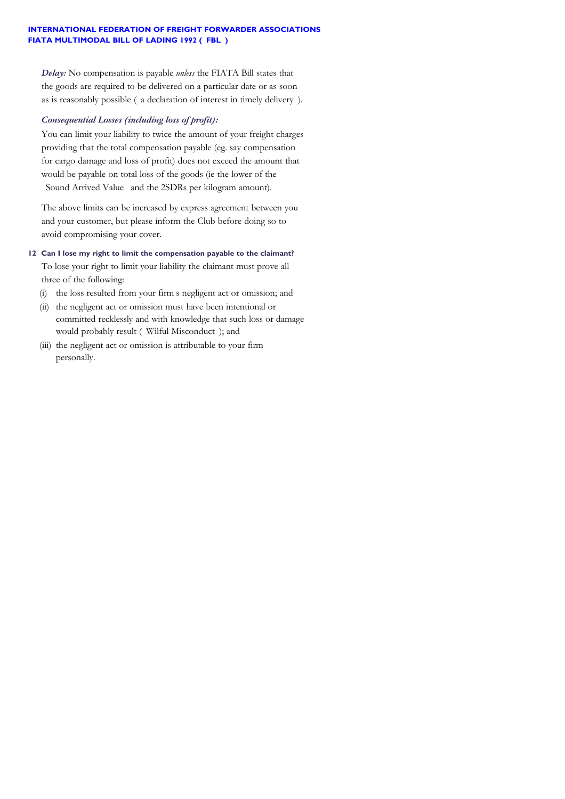## **INTERNATIONAL FEDERATION OF FREIGHT FORWARDER ASSOCIATIONS FIATA MULTIMODAL BILL OF LADING 1992 (FBL)**

*Delay:* No compensation is payable *unless* the FIATA Bill states that the goods are required to be delivered on a particular date or as soon as is reasonably possible ( $a$  declaration of interest in timely delivery).

## *Consequential Losses (including loss of profit):*

You can limit your liability to twice the amount of your freight charges providing that the total compensation payable (eg. say compensation for cargo damage and loss of profit) does not exceed the amount that would be payable on total loss of the goods (ie the lower of the Sound Arrived Value and the 2SDRs per kilogram amount).

The above limits can be increased by express agreement between you and your customer, but please inform the Club before doing so to avoid compromising your cover.

## **12 Can I lose my right to limit the compensation payable to the claimant?**

To lose your right to limit your liability the claimant must prove all three of the following:

- (i) the loss resulted from your firm's negligent act or omission; and
- (ii) the negligent act or omission must have been intentional or committed recklessly and with knowledge that such loss or damage would probably result ("Wilful Misconduct"); and
- (iii) the negligent act or omission is attributable to your firm personally.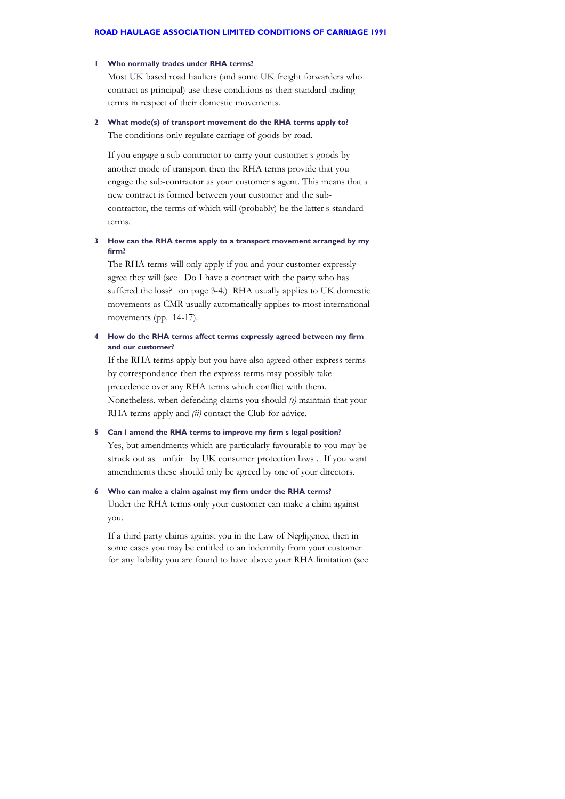#### **1 Who normally trades under RHA terms?**

Most UK based road hauliers (and some UK freight forwarders who contract as principal) use these conditions as their standard trading terms in respect of their domestic movements.

## **2 What mode(s) of transport movement do the RHA terms apply to?** The conditions only regulate carriage of goods by road.

If you engage a sub-contractor to carry your customer's goods by another mode of transport then the RHA terms provide that you engage the sub-contractor as your customer's agent. This means that a new contract is formed between your customer and the subcontractor, the terms of which will (probably) be the latter's standard terms.

#### **3 How can the RHA terms apply to a transport movement arranged by my firm?**

The RHA terms will only apply if you and your customer expressly agree they will (see "Do I have a contract with the party who has suffered the loss? on page 3-4.) RHA usually applies to UK domestic movements as CMR usually automatically applies to most international movements (pp. 14-17).

## **4 How do the RHA terms affect terms expressly agreed between my firm and our customer?**

If the RHA terms apply but you have also agreed other express terms by correspondence then the express terms may possibly take precedence over any RHA terms which conflict with them. Nonetheless, when defending claims you should *(i)* maintain that your RHA terms apply and *(ii)* contact the Club for advice.

# **5 Can I amend the RHA terms to improve my firm's legal position?** Yes, but amendments which are particularly favourable to you may be

struck out as unfair by UK consumer protection laws . If you want amendments these should only be agreed by one of your directors.

#### **6 Who can make a claim against my firm under the RHA terms?**

Under the RHA terms only your customer can make a claim against you.

If a third party claims against you in the Law of Negligence, then in some cases you may be entitled to an indemnity from your customer for any liability you are found to have above your RHA limitation (see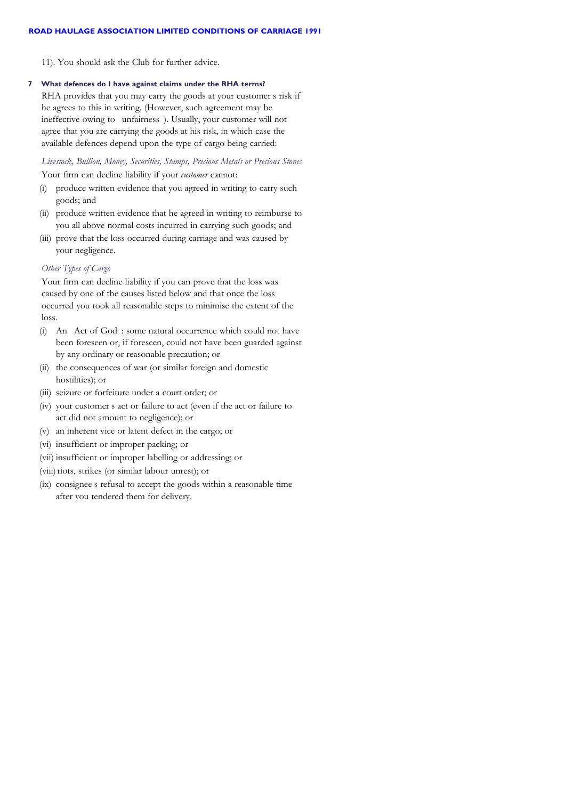11). You should ask the Club for further advice.

#### **7 What defences do I have against claims under the RHA terms?**

RHA provides that you may carry the goods at your customer's risk if he agrees to this in writing. (However, such agreement may be ineffective owing to unfairness). Usually, your customer will not agree that you are carrying the goods at his risk, in which case the available defences depend upon the type of cargo being carried:

*Livestock, Bullion, Money, Securities, Stamps, Precious Metals or Precious Stones*

Your firm can decline liability if your *customer* cannot:

- (i) produce written evidence that you agreed in writing to carry such goods; and
- (ii) produce written evidence that he agreed in writing to reimburse to you all above normal costs incurred in carrying such goods; and
- (iii) prove that the loss occurred during carriage and was caused by your negligence.

## *Other Types of Cargo*

Your firm can decline liability if you can prove that the loss was caused by one of the causes listed below and that once the loss occurred you took all reasonable steps to minimise the extent of the loss.

- (i) An Act of God : some natural occurrence which could not have been foreseen or, if foreseen, could not have been guarded against by any ordinary or reasonable precaution; or
- (ii) the consequences of war (or similar foreign and domestic hostilities); or
- (iii) seizure or forfeiture under a court order; or
- (iv) your customer's act or failure to act (even if the act or failure to act did not amount to negligence); or
- (v) an inherent vice or latent defect in the cargo; or
- (vi) insufficient or improper packing; or
- (vii) insufficient or improper labelling or addressing; or
- (viii) riots, strikes (or similar labour unrest); or
- (ix) consignee's refusal to accept the goods within a reasonable time after you tendered them for delivery.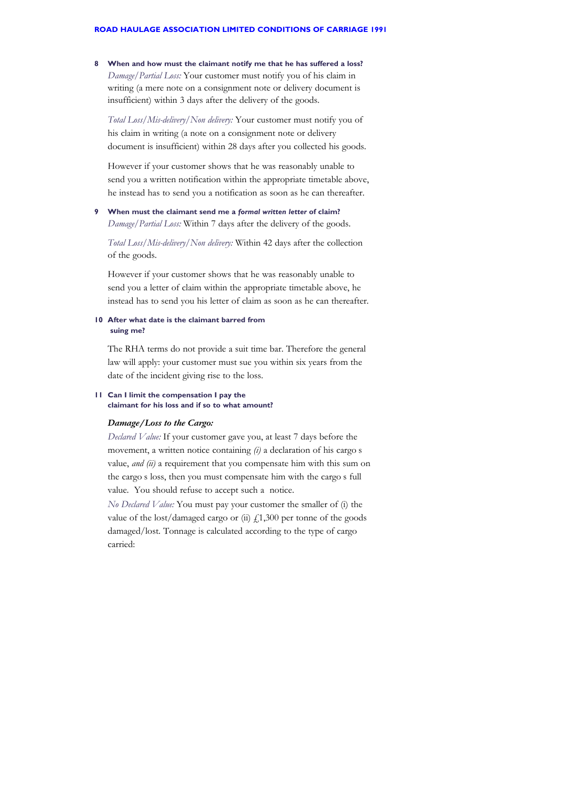#### **ROAD HAULAGE ASSOCIATION LIMITED CONDITIONS OF CARRIAGE 1991**

**8 When and how must the claimant notify me that he has suffered a loss?** *Damage/Partial Loss:* Your customer must notify you of his claim in writing (a mere note on a consignment note or delivery document is insufficient) within 3 days after the delivery of the goods.

*Total Loss/Mis-delivery/Non delivery:* Your customer must notify you of his claim in writing (a note on a consignment note or delivery document is insufficient) within 28 days after you collected his goods.

However if your customer shows that he was reasonably unable to send you a written notification within the appropriate timetable above, he instead has to send you a notification as soon as he can thereafter.

**9 When must the claimant send me a** *formal written letter* **of claim?** *Damage/Partial Loss:* Within 7 days after the delivery of the goods.

*Total Loss/Mis-delivery/Non delivery:* Within 42 days after the collection of the goods.

However if your customer shows that he was reasonably unable to send you a letter of claim within the appropriate timetable above, he instead has to send you his letter of claim as soon as he can thereafter.

#### **10 After what date is the claimant barred from suing me?**

The RHA terms do not provide a suit time bar. Therefore the general law will apply: your customer must sue you within six years from the date of the incident giving rise to the loss.

#### **11 Can I limit the compensation I pay the claimant for his loss and if so to what amount?**

## *Damage/Loss to the Cargo:*

*Declared Value:* If your customer gave you, at least 7 days before the movement, a written notice containing *(i)* a declaration of his cargo s value, *and (ii)* a requirement that you compensate him with this sum on the cargo's loss, then you must compensate him with the cargo's full value. You should refuse to accept such a notice.

*No Declared Value:* You must pay your customer the smaller of (i) the value of the lost/damaged cargo or (ii)  $f(1,300)$  per tonne of the goods damaged/lost. Tonnage is calculated according to the type of cargo carried: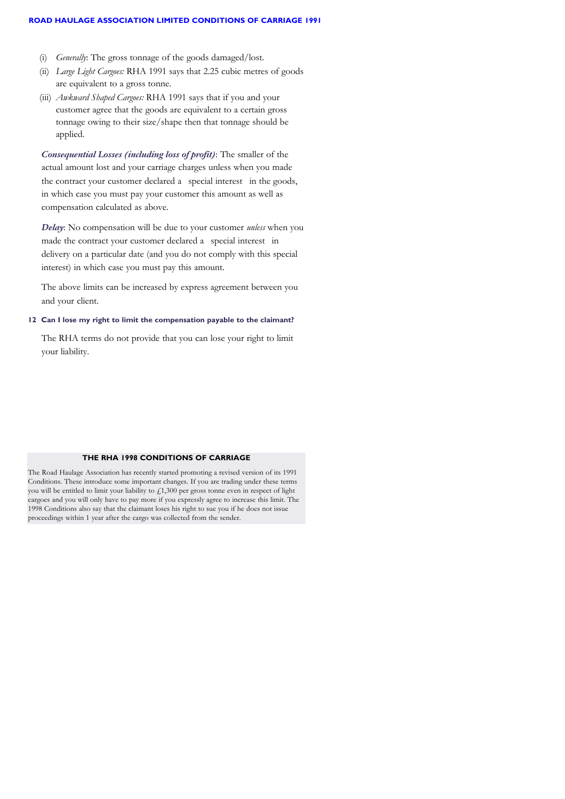#### **ROAD HAULAGE ASSOCIATION LIMITED CONDITIONS OF CARRIAGE 1991**

- (i) *Generally*: The gross tonnage of the goods damaged/lost.
- (ii) *Large Light Cargoes:* RHA 1991 says that 2.25 cubic metres of goods are equivalent to a gross tonne.
- (iii) *Awkward Shaped Cargoes:* RHA 1991 says that if you and your customer agree that the goods are equivalent to a certain gross tonnage owing to their size/shape then that tonnage should be applied.

*Consequential Losses (including loss of profit)*: The smaller of the actual amount lost and your carriage charges unless when you made the contract your customer declared a special interest in the goods, in which case you must pay your customer this amount as well as compensation calculated as above.

*Delay*: No compensation will be due to your customer *unless* when you made the contract your customer declared a special interest in delivery on a particular date (and you do not comply with this special interest) in which case you must pay this amount.

The above limits can be increased by express agreement between you and your client.

#### **12 Can I lose my right to limit the compensation payable to the claimant?**

The RHA terms do not provide that you can lose your right to limit your liability.

## **THE RHA 1998 CONDITIONS OF CARRIAGE**

The Road Haulage Association has recently started promoting a revised version of its 1991 Conditions. These introduce some important changes. If you are trading under these terms you will be entitled to limit your liability to £1,300 per gross tonne even in respect of light cargoes and you will only have to pay more if you expressly agree to increase this limit. The 1998 Conditions also say that the claimant loses his right to sue you if he does not issue proceedings within 1 year after the cargo was collected from the sender.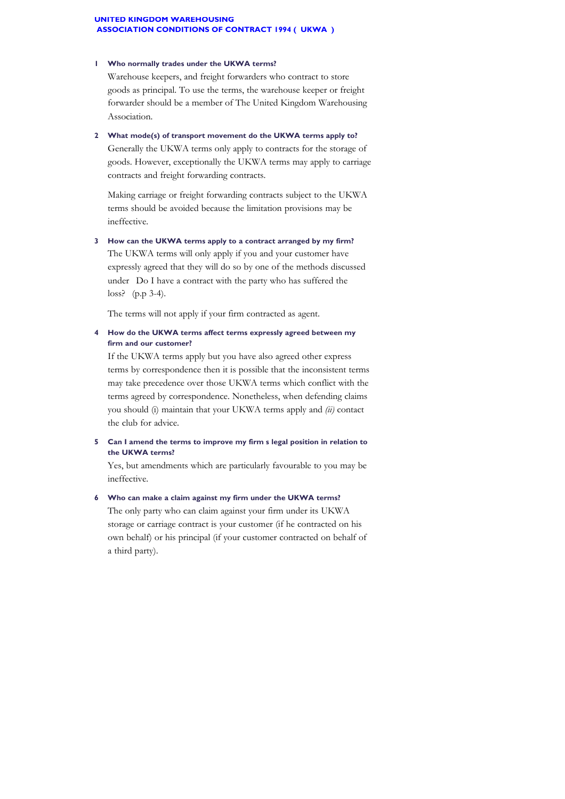#### **UNITED KINGDOM WAREHOUSING ASSOCIATION CONDITIONS OF CONTRACT 1994 ( UKWA )**

#### **1 Who normally trades under the UKWA terms?**

Warehouse keepers, and freight forwarders who contract to store goods as principal. To use the terms, the warehouse keeper or freight forwarder should be a member of The United Kingdom Warehousing Association.

**2 What mode(s) of transport movement do the UKWA terms apply to?**

Generally the UKWA terms only apply to contracts for the storage of goods. However, exceptionally the UKWA terms may apply to carriage contracts and freight forwarding contracts.

Making carriage or freight forwarding contracts subject to the UKWA terms should be avoided because the limitation provisions may be ineffective.

**3 How can the UKWA terms apply to a contract arranged by my firm?** The UKWA terms will only apply if you and your customer have expressly agreed that they will do so by one of the methods discussed under "Do I have a contract with the party who has suffered the loss? (p.p 3-4).

The terms will not apply if your firm contracted as agent.

## **4 How do the UKWA terms affect terms expressly agreed between my firm and our customer?**

If the UKWA terms apply but you have also agreed other express terms by correspondence then it is possible that the inconsistent terms may take precedence over those UKWA terms which conflict with the terms agreed by correspondence. Nonetheless, when defending claims you should (i) maintain that your UKWA terms apply and *(ii)* contact the club for advice.

**5 Can I amend the terms to improve my firm's legal position in relation to the UKWA terms?**

Yes, but amendments which are particularly favourable to you may be ineffective.

# **6 Who can make a claim against my firm under the UKWA terms?**

The only party who can claim against your firm under its UKWA storage or carriage contract is your customer (if he contracted on his own behalf) or his principal (if your customer contracted on behalf of a third party).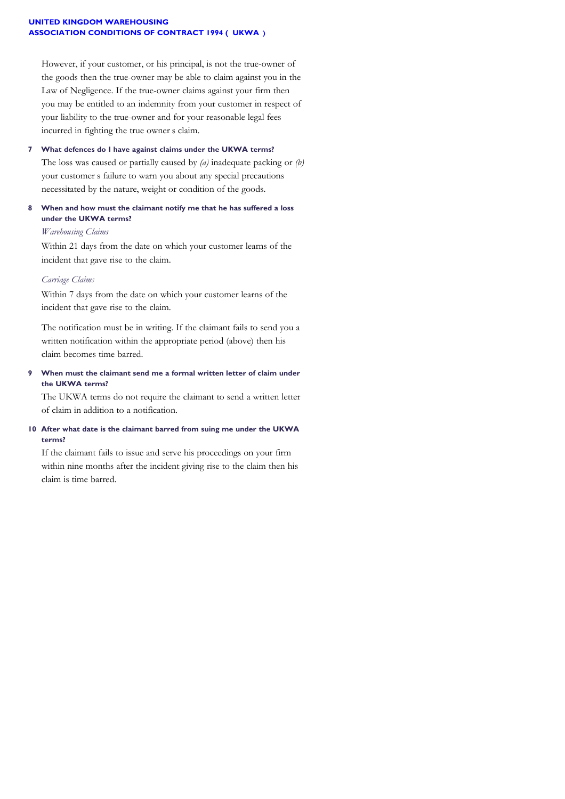#### **UNITED KINGDOM WAREHOUSING ASSOCIATION CONDITIONS OF CONTRACT 1994 ( UKWA )**

However, if your customer, or his principal, is not the true-owner of the goods then the true-owner may be able to claim against you in the Law of Negligence. If the true-owner claims against your firm then you may be entitled to an indemnity from your customer in respect of your liability to the true-owner and for your reasonable legal fees incurred in fighting the true owner's claim.

**7 What defences do I have against claims under the UKWA terms?** The loss was caused or partially caused by *(a)* inadequate packing or *(b)* your customer's failure to warn you about any special precautions necessitated by the nature, weight or condition of the goods.

## **8 When and how must the claimant notify me that he has suffered a loss under the UKWA terms?**

## *Warehousing Claims*

Within 21 days from the date on which your customer learns of the incident that gave rise to the claim.

## *Carriage Claims*

Within 7 days from the date on which your customer learns of the incident that gave rise to the claim.

The notification must be in writing. If the claimant fails to send you a written notification within the appropriate period (above) then his claim becomes time barred.

**9 When must the claimant send me a formal written letter of claim under the UKWA terms?**

The UKWA terms do not require the claimant to send a written letter of claim in addition to a notification.

## **10 After what date is the claimant barred from suing me under the UKWA terms?**

If the claimant fails to issue and serve his proceedings on your firm within nine months after the incident giving rise to the claim then his claim is time barred.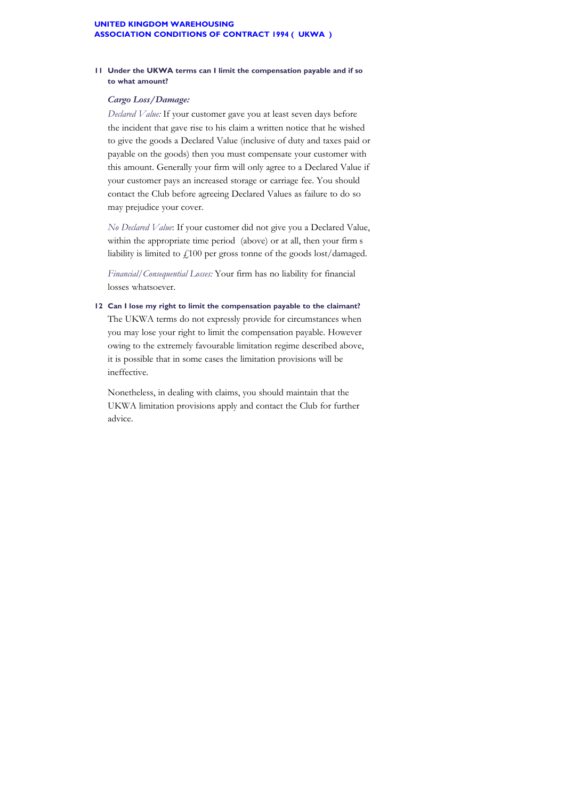## **11 Under the UKWA terms can I limit the compensation payable and if so to what amount?**

## *Cargo Loss/Damage:*

*Declared Value:* If your customer gave you at least seven days before the incident that gave rise to his claim a written notice that he wished to give the goods a Declared Value (inclusive of duty and taxes paid or payable on the goods) then you must compensate your customer with this amount. Generally your firm will only agree to a Declared Value if your customer pays an increased storage or carriage fee. You should contact the Club before agreeing Declared Values as failure to do so may prejudice your cover.

*No Declared Value*: If your customer did not give you a Declared Value, within the appropriate time period (above) or at all, then your firm s liability is limited to £100 per gross tonne of the goods lost/damaged.

*Financial/Consequential Losses:* Your firm has no liability for financial losses whatsoever.

**12 Can I lose my right to limit the compensation payable to the claimant?** The UKWA terms do not expressly provide for circumstances when you may lose your right to limit the compensation payable. However owing to the extremely favourable limitation regime described above, it is possible that in some cases the limitation provisions will be ineffective.

Nonetheless, in dealing with claims, you should maintain that the UKWA limitation provisions apply and contact the Club for further advice.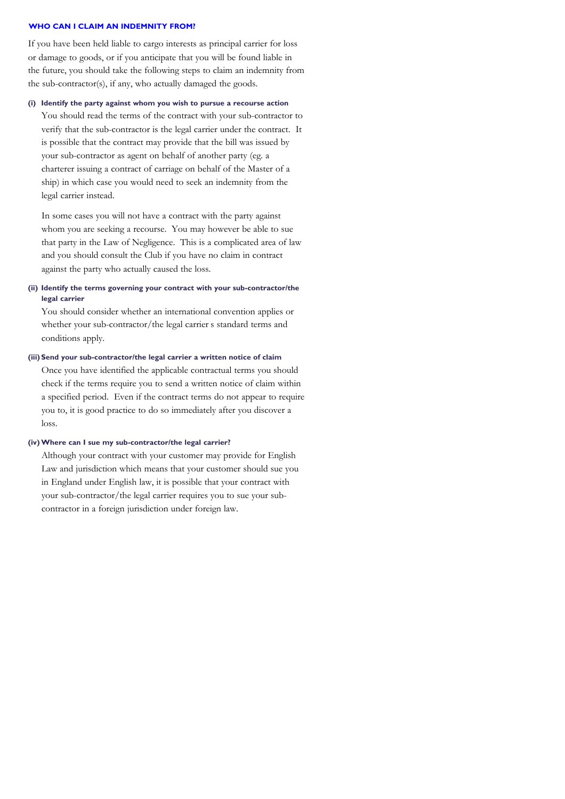#### **WHO CAN I CLAIM AN INDEMNITY FROM?**

If you have been held liable to cargo interests as principal carrier for loss or damage to goods, or if you anticipate that you will be found liable in the future, you should take the following steps to claim an indemnity from the sub-contractor(s), if any, who actually damaged the goods.

## **(i) Identify the party against whom you wish to pursue a recourse action**

You should read the terms of the contract with your sub-contractor to verify that the sub-contractor is the legal carrier under the contract. It is possible that the contract may provide that the bill was issued by your sub-contractor as agent on behalf of another party (eg. a charterer issuing a contract of carriage on behalf of the Master of a ship) in which case you would need to seek an indemnity from the legal carrier instead.

In some cases you will not have a contract with the party against whom you are seeking a recourse. You may however be able to sue that party in the Law of Negligence. This is a complicated area of law and you should consult the Club if you have no claim in contract against the party who actually caused the loss.

**(ii) Identify the terms governing your contract with your sub-contractor/the legal carrier**

You should consider whether an international convention applies or whether your sub-contractor/the legal carrier's standard terms and conditions apply.

## **(iii) Send your sub-contractor/the legal carrier a written notice of claim**

Once you have identified the applicable contractual terms you should check if the terms require you to send a written notice of claim within a specified period. Even if the contract terms do not appear to require you to, it is good practice to do so immediately after you discover a loss.

#### **(iv)Where can I sue my sub-contractor/the legal carrier?**

Although your contract with your customer may provide for English Law and jurisdiction which means that your customer should sue you in England under English law, it is possible that your contract with your sub-contractor/the legal carrier requires you to sue your subcontractor in a foreign jurisdiction under foreign law.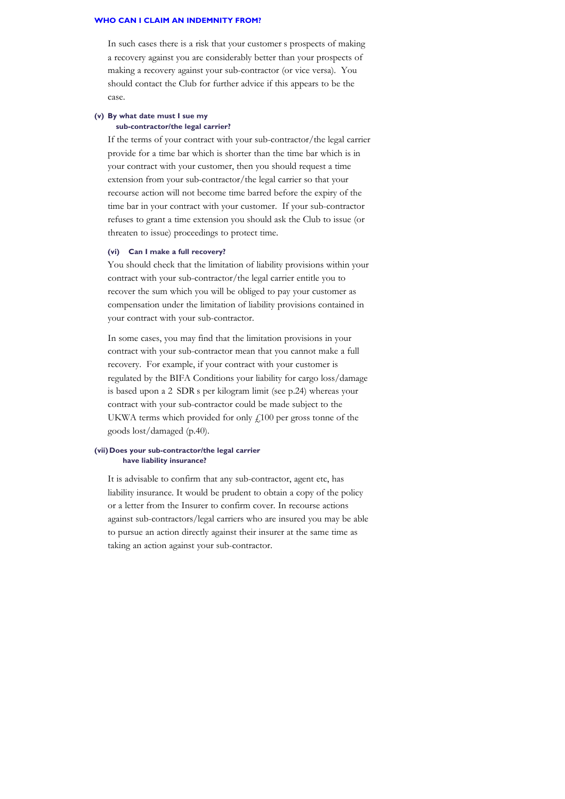#### **WHO CAN I CLAIM AN INDEMNITY FROM?**

In such cases there is a risk that your customer's prospects of making a recovery against you are considerably better than your prospects of making a recovery against your sub-contractor (or vice versa). You should contact the Club for further advice if this appears to be the case.

#### **(v) By what date must I sue my sub-contractor/the legal carrier?**

If the terms of your contract with your sub-contractor/the legal carrier provide for a time bar which is shorter than the time bar which is in your contract with your customer, then you should request a time extension from your sub-contractor/the legal carrier so that your recourse action will not become time barred before the expiry of the time bar in your contract with your customer. If your sub-contractor refuses to grant a time extension you should ask the Club to issue (or threaten to issue) proceedings to protect time.

#### **(vi) Can I make a full recovery?**

You should check that the limitation of liability provisions within your contract with your sub-contractor/the legal carrier entitle you to recover the sum which you will be obliged to pay your customer as compensation under the limitation of liability provisions contained in your contract with your sub-contractor.

In some cases, you may find that the limitation provisions in your contract with your sub-contractor mean that you cannot make a full recovery. For example, if your contract with your customer is regulated by the BIFA Conditions your liability for cargo loss/damage is based upon a 2 SDR's per kilogram limit (see p.24) whereas your contract with your sub-contractor could be made subject to the UKWA terms which provided for only  $f<sub>100</sub>$  per gross tonne of the goods lost/damaged (p.40).

#### **(vii) Does your sub-contractor/the legal carrier have liability insurance?**

It is advisable to confirm that any sub-contractor, agent etc, has liability insurance. It would be prudent to obtain a copy of the policy or a letter from the Insurer to confirm cover. In recourse actions against sub-contractors/legal carriers who are insured you may be able to pursue an action directly against their insurer at the same time as taking an action against your sub-contractor.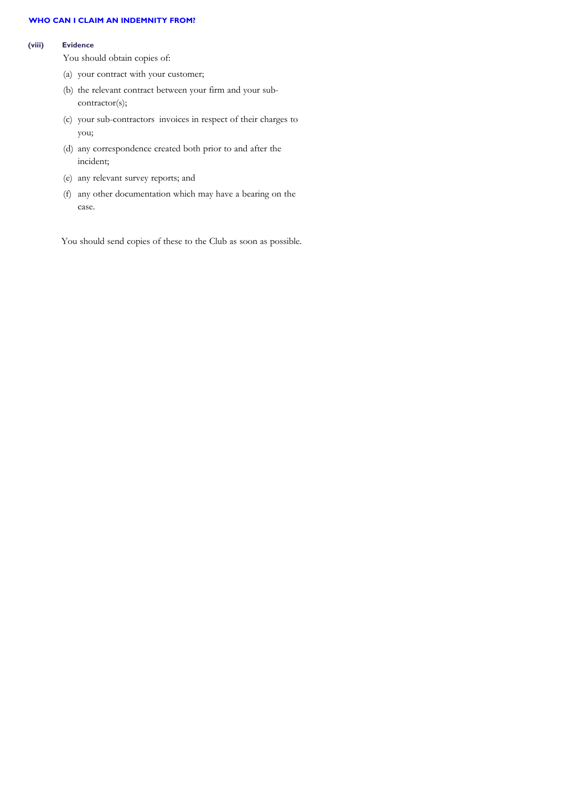## **WHO CAN I CLAIM AN INDEMNITY FROM?**

#### **(viii) Evidence**

You should obtain copies of:

- (a) your contract with your customer;
- (b) the relevant contract between your firm and your subcontractor(s);
- (c) your sub-contractors' invoices in respect of their charges to you;
- (d) any correspondence created both prior to and after the incident;
- (e) any relevant survey reports; and
- (f) any other documentation which may have a bearing on the case.

You should send copies of these to the Club as soon as possible.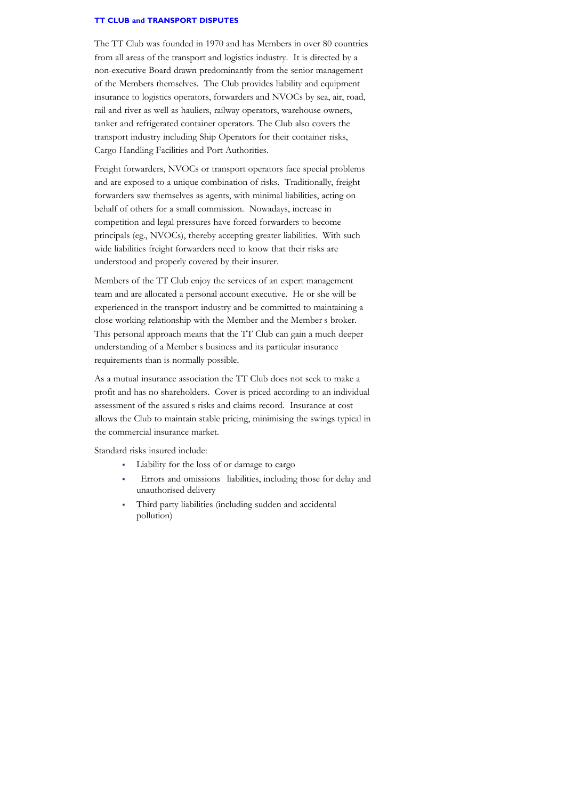#### **TT CLUB and TRANSPORT DISPUTES**

The TT Club was founded in 1970 and has Members in over 80 countries from all areas of the transport and logistics industry. It is directed by a non-executive Board drawn predominantly from the senior management of the Members themselves. The Club provides liability and equipment insurance to logistics operators, forwarders and NVOCs by sea, air, road, rail and river as well as hauliers, railway operators, warehouse owners, tanker and refrigerated container operators. The Club also covers the transport industry including Ship Operators for their container risks, Cargo Handling Facilities and Port Authorities.

Freight forwarders, NVOCs or transport operators face special problems and are exposed to a unique combination of risks. Traditionally, freight forwarders saw themselves as agents, with minimal liabilities, acting on behalf of others for a small commission. Nowadays, increase in competition and legal pressures have forced forwarders to become principals (eg., NVOCs), thereby accepting greater liabilities. With such wide liabilities freight forwarders need to know that their risks are understood and properly covered by their insurer.

Members of the TT Club enjoy the services of an expert management team and are allocated a personal account executive. He or she will be experienced in the transport industry and be committed to maintaining a close working relationship with the Member and the Member's broker. This personal approach means that the TT Club can gain a much deeper understanding of a Member's business and its particular insurance requirements than is normally possible.

As a mutual insurance association the TT Club does not seek to make a profit and has no shareholders. Cover is priced according to an individual assessment of the assured's risks and claims record. Insurance at cost allows the Club to maintain stable pricing, minimising the swings typical in the commercial insurance market.

Standard risks insured include:

- <sup>ß</sup> Liability for the loss of or damage to cargo
- Errors and omissions liabilities, including those for delay and unauthorised delivery
- <sup>ß</sup> Third party liabilities (including sudden and accidental pollution)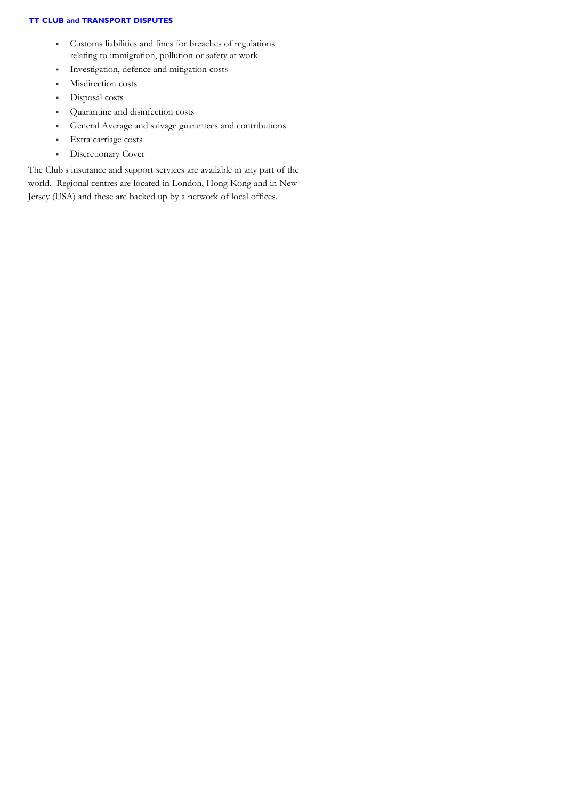## **TT CLUB and TRANSPORT DISPUTES**

- <sup>ß</sup> Customs liabilities and fines for breaches of regulations relating to immigration, pollution or safety at work
- <sup>ß</sup> Investigation, defence and mitigation costs
- **Misdirection costs**
- Disposal costs
- Quarantine and disinfection costs
- <sup>ß</sup> General Average and salvage guarantees and contributions
- **Extra carriage costs**
- **·** Discretionary Cover

The Club's insurance and support services are available in any part of the world. Regional centres are located in London, Hong Kong and in New Jersey (USA) and these are backed up by a network of local offices.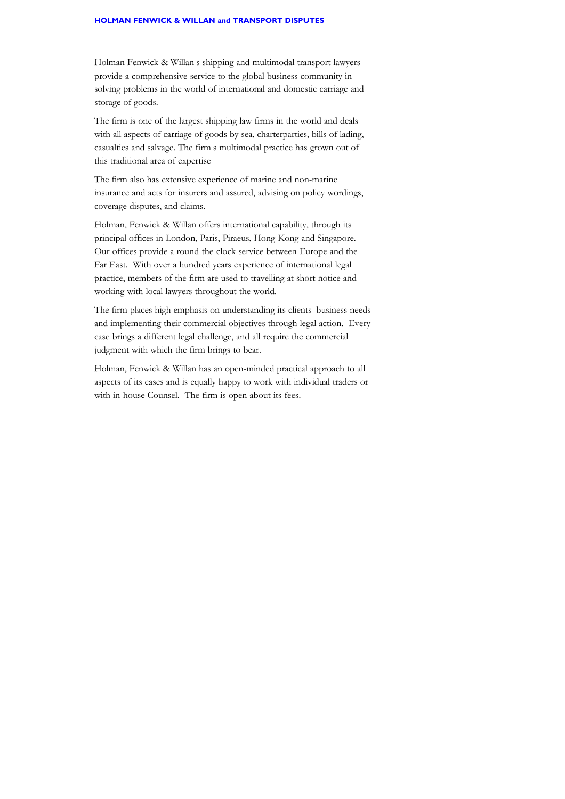Holman Fenwick & Willan's shipping and multimodal transport lawyers provide a comprehensive service to the global business community in solving problems in the world of international and domestic carriage and storage of goods.

The firm is one of the largest shipping law firms in the world and deals with all aspects of carriage of goods by sea, charterparties, bills of lading, casualties and salvage. The firm's multimodal practice has grown out of this traditional area of expertise

The firm also has extensive experience of marine and non-marine insurance and acts for insurers and assured, advising on policy wordings, coverage disputes, and claims.

Holman, Fenwick & Willan offers international capability, through its principal offices in London, Paris, Piraeus, Hong Kong and Singapore. Our offices provide a round-the-clock service between Europe and the Far East. With over a hundred years experience of international legal practice, members of the firm are used to travelling at short notice and working with local lawyers throughout the world.

The firm places high emphasis on understanding its clients business needs and implementing their commercial objectives through legal action. Every case brings a different legal challenge, and all require the commercial judgment with which the firm brings to bear.

Holman, Fenwick & Willan has an open-minded practical approach to all aspects of its cases and is equally happy to work with individual traders or with in-house Counsel. The firm is open about its fees.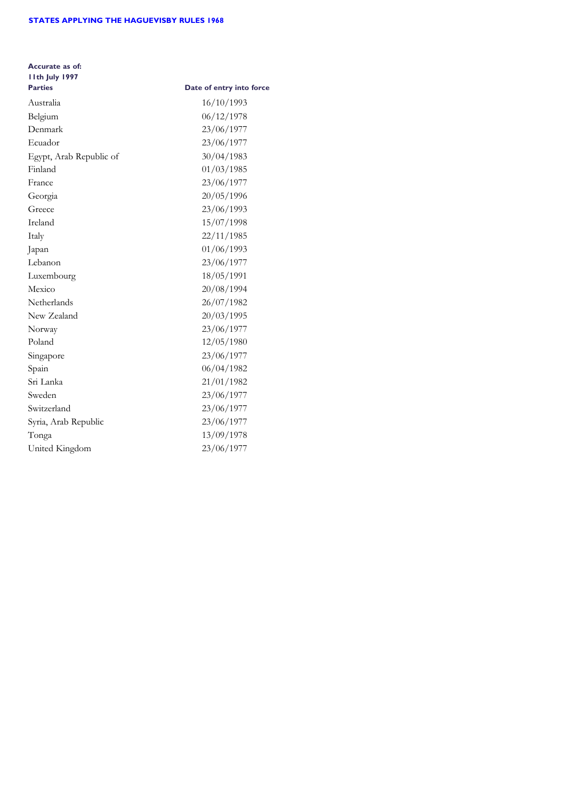## **STATES APPLYING THE HAGUEVISBY RULES 1968**

| Accurate as of:<br>I Ith July 1997 |                          |
|------------------------------------|--------------------------|
| <b>Parties</b>                     | Date of entry into force |
| Australia                          | 16/10/1993               |
| Belgium                            | 06/12/1978               |
| Denmark                            | 23/06/1977               |
| Ecuador                            | 23/06/1977               |
| Egypt, Arab Republic of            | 30/04/1983               |
| Finland                            | 01/03/1985               |
| France                             | 23/06/1977               |
| Georgia                            | 20/05/1996               |
| Greece                             | 23/06/1993               |
| Ireland                            | 15/07/1998               |
| Italy                              | 22/11/1985               |
| Japan                              | 01/06/1993               |
| Lebanon                            | 23/06/1977               |
| Luxembourg                         | 18/05/1991               |
| Mexico                             | 20/08/1994               |
| Netherlands                        | 26/07/1982               |
| New Zealand                        | 20/03/1995               |
| Norway                             | 23/06/1977               |
| Poland                             | 12/05/1980               |
| Singapore                          | 23/06/1977               |
| Spain                              | 06/04/1982               |
| Sri Lanka                          | 21/01/1982               |
| Sweden                             | 23/06/1977               |
| Switzerland                        | 23/06/1977               |
| Syria, Arab Republic               | 23/06/1977               |
| Tonga                              | 13/09/1978               |
| United Kingdom                     | 23/06/1977               |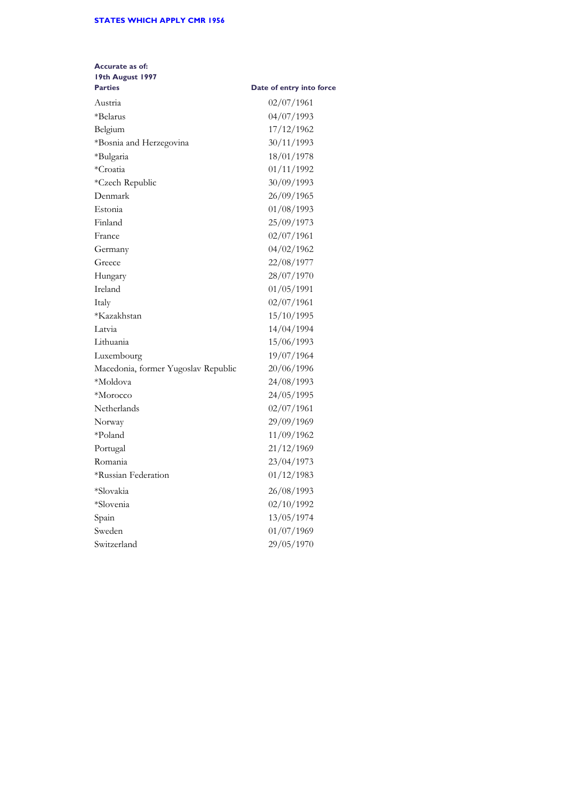## **STATES WHICH APPLY CMR 1956**

| Date of entry into force |
|--------------------------|
| 02/07/1961               |
| 04/07/1993               |
| 17/12/1962               |
| 30/11/1993               |
| 18/01/1978               |
| 01/11/1992               |
| 30/09/1993               |
| 26/09/1965               |
| 01/08/1993               |
| 25/09/1973               |
| 02/07/1961               |
| 04/02/1962               |
| 22/08/1977               |
| 28/07/1970               |
| 01/05/1991               |
| 02/07/1961               |
| 15/10/1995               |
| 14/04/1994               |
| 15/06/1993               |
| 19/07/1964               |
| 20/06/1996               |
| 24/08/1993               |
| 24/05/1995               |
| 02/07/1961               |
| 29/09/1969               |
| 11/09/1962               |
| 21/12/1969               |
| 23/04/1973               |
| 01/12/1983               |
| 26/08/1993               |
| 02/10/1992               |
| 13/05/1974               |
| 01/07/1969               |
| 29/05/1970               |
|                          |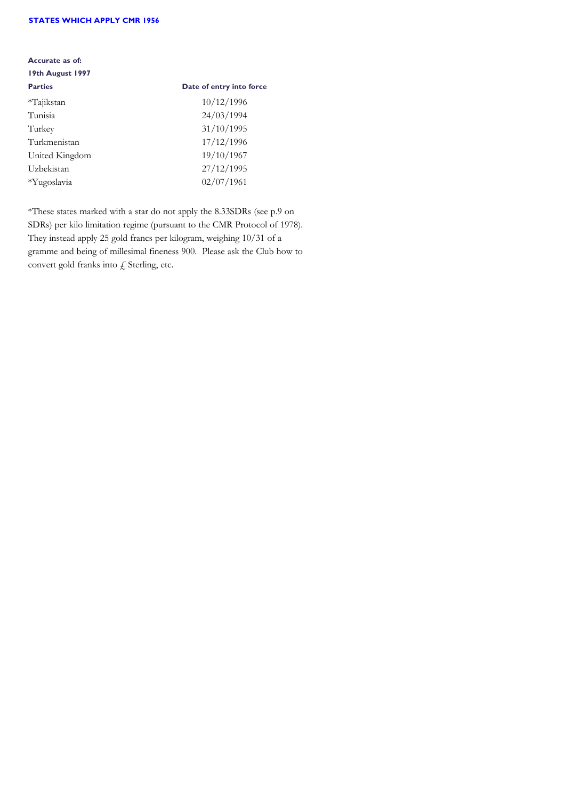#### **STATES WHICH APPLY CMR 1956**

#### **Accurate as of:**

# **19th August 1997**

| <b>Parties</b> | Date of entry into force |
|----------------|--------------------------|
| $*T$ ajikstan  | 10/12/1996               |
| Tunisia        | 24/03/1994               |
| Turkey         | 31/10/1995               |
| Turkmenistan   | 17/12/1996               |
| United Kingdom | 19/10/1967               |
| Uzbekistan     | 27/12/1995               |
| *Yugoslavia    | 02/07/1961               |

\*These states marked with a star do not apply the 8.33SDRs (see p.9 on SDRs) per kilo limitation regime (pursuant to the CMR Protocol of 1978). They instead apply 25 gold francs per kilogram, weighing 10/31 of a gramme and being of millesimal fineness 900. Please ask the Club how to convert gold franks into  $f$  Sterling, etc.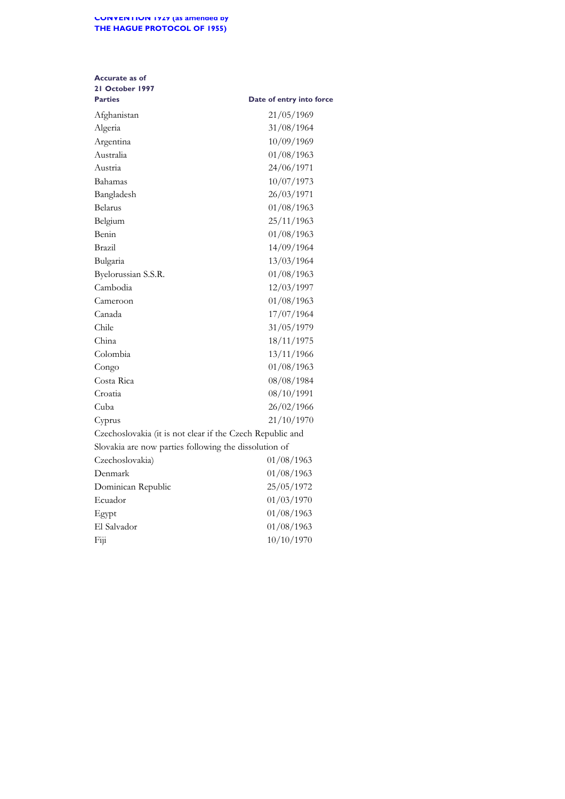| <b>Accurate as of</b><br>21 October 1997                  |                          |
|-----------------------------------------------------------|--------------------------|
| <b>Parties</b>                                            | Date of entry into force |
| Afghanistan                                               | 21/05/1969               |
| Algeria                                                   | 31/08/1964               |
| Argentina                                                 | 10/09/1969               |
| Australia                                                 | 01/08/1963               |
| Austria                                                   | 24/06/1971               |
| Bahamas                                                   | 10/07/1973               |
| Bangladesh                                                | 26/03/1971               |
| Belarus                                                   | 01/08/1963               |
| Belgium                                                   | 25/11/1963               |
| Benin                                                     | 01/08/1963               |
| Brazil                                                    | 14/09/1964               |
| Bulgaria                                                  | 13/03/1964               |
| Byelorussian S.S.R.                                       | 01/08/1963               |
| Cambodia                                                  | 12/03/1997               |
| Cameroon                                                  | 01/08/1963               |
| Canada                                                    | 17/07/1964               |
| Chile                                                     | 31/05/1979               |
| China                                                     | 18/11/1975               |
| Colombia                                                  | 13/11/1966               |
| Congo                                                     | 01/08/1963               |
| Costa Rica                                                | 08/08/1984               |
| Croatia                                                   | 08/10/1991               |
| Cuba                                                      | 26/02/1966               |
| Cyprus                                                    | 21/10/1970               |
| Czechoslovakia (it is not clear if the Czech Republic and |                          |
| Slovakia are now parties following the dissolution of     |                          |
| Czechoslovakia)                                           | 01/08/1963               |
| Denmark                                                   | 01/08/1963               |
| Dominican Republic                                        | 25/05/1972               |
| Ecuador                                                   | 01/03/1970               |
| Egypt                                                     | 01/08/1963               |
| El Salvador                                               | 01/08/1963               |
| Fiji                                                      | 10/10/1970               |
|                                                           |                          |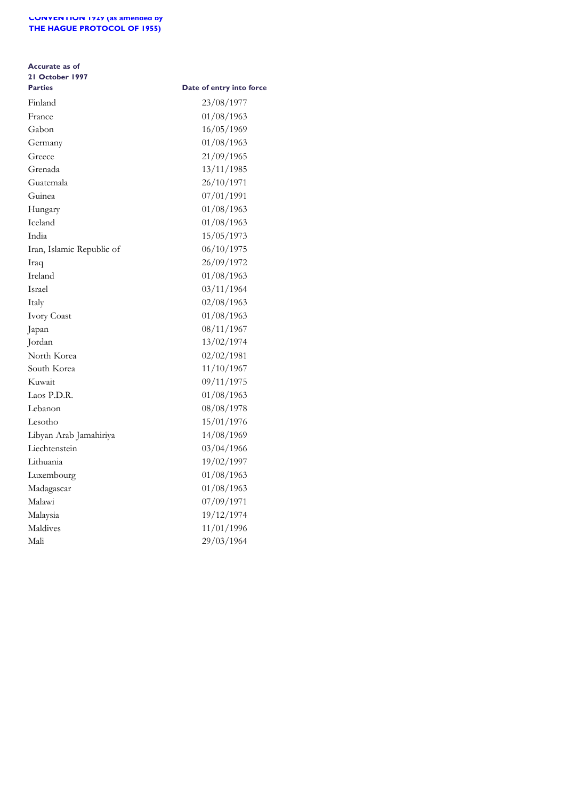## **Accurate as of 21 October 1997**

| <b>Parties</b>            | Date of entry into force |
|---------------------------|--------------------------|
| Finland                   | 23/08/1977               |
| France                    | 01/08/1963               |
| Gabon                     | 16/05/1969               |
| Germany                   | 01/08/1963               |
| Greece                    | 21/09/1965               |
| Grenada                   | 13/11/1985               |
| Guatemala                 | 26/10/1971               |
| Guinea                    | 07/01/1991               |
| Hungary                   | 01/08/1963               |
| Iceland                   | 01/08/1963               |
| India                     | 15/05/1973               |
| Iran, Islamic Republic of | 06/10/1975               |
| Iraq                      | 26/09/1972               |
| Ireland                   | 01/08/1963               |
| Israel                    | 03/11/1964               |
| Italy                     | 02/08/1963               |
| Ivory Coast               | 01/08/1963               |
| Japan                     | 08/11/1967               |
| Jordan                    | 13/02/1974               |
| North Korea               | 02/02/1981               |
| South Korea               | 11/10/1967               |
| Kuwait                    | 09/11/1975               |
| Laos P.D.R.               | 01/08/1963               |
| Lebanon                   | 08/08/1978               |
| Lesotho                   | 15/01/1976               |
| Libyan Arab Jamahiriya    | 14/08/1969               |
| Liechtenstein             | 03/04/1966               |
| Lithuania                 | 19/02/1997               |
| Luxembourg                | 01/08/1963               |
| Madagascar                | 01/08/1963               |
| Malawi                    | 07/09/1971               |
| Malaysia                  | 19/12/1974               |
| Maldives                  | 11/01/1996               |
| Mali                      | 29/03/1964               |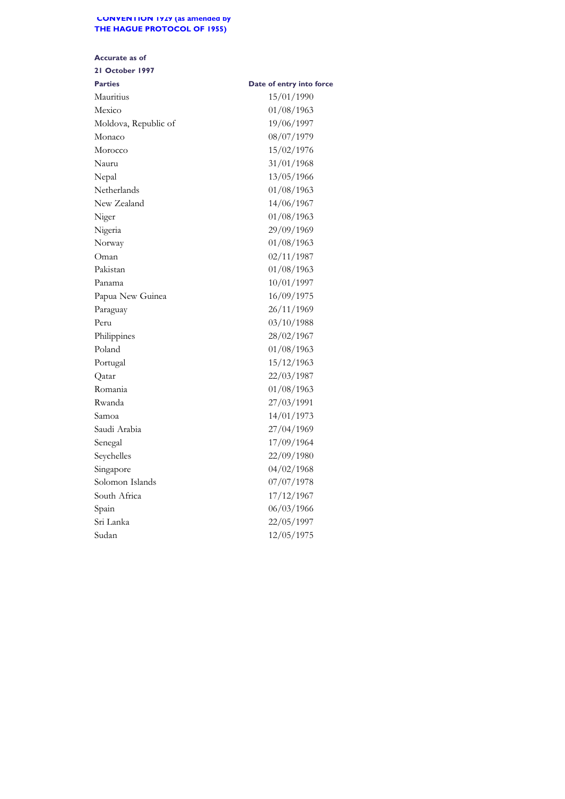## **Accurate as of**

| <b>Parties</b>       | Date of entry into force |
|----------------------|--------------------------|
| Mauritius            | 15/01/1990               |
| Mexico               | 01/08/1963               |
| Moldova, Republic of | 19/06/1997               |
| Monaco               | 08/07/1979               |
| Morocco              | 15/02/1976               |
| Nauru                | 31/01/1968               |
| Nepal                | 13/05/1966               |
| Netherlands          | 01/08/1963               |
| New Zealand          | 14/06/1967               |
| Niger                | 01/08/1963               |
| Nigeria              | 29/09/1969               |
| Norway               | 01/08/1963               |
| Oman                 | 02/11/1987               |
| Pakistan             | 01/08/1963               |
| Panama               | 10/01/1997               |
| Papua New Guinea     | 16/09/1975               |
| Paraguay             | 26/11/1969               |
| Peru                 | 03/10/1988               |
| Philippines          | 28/02/1967               |
| Poland               | 01/08/1963               |
| Portugal             | 15/12/1963               |
| Qatar                | 22/03/1987               |
| Romania              | 01/08/1963               |
| Rwanda               | 27/03/1991               |
| Samoa                | 14/01/1973               |
| Saudi Arabia         | 27/04/1969               |
| Senegal              | 17/09/1964               |
| Seychelles           | 22/09/1980               |
| Singapore            | 04/02/1968               |
| Solomon Islands      | 07/07/1978               |
| South Africa         | 17/12/1967               |
| Spain                | 06/03/1966               |
| Sri Lanka            | 22/05/1997               |
| Sudan                | 12/05/1975               |
|                      |                          |